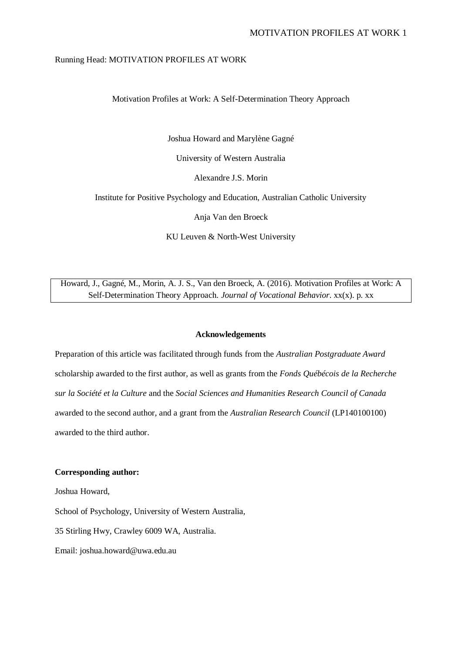### Running Head: MOTIVATION PROFILES AT WORK

## Motivation Profiles at Work: A Self-Determination Theory Approach

Joshua Howard and Marylène Gagné

University of Western Australia

Alexandre J.S. Morin

Institute for Positive Psychology and Education, Australian Catholic University

Anja Van den Broeck

KU Leuven & North-West University

Howard, J., Gagné, M., Morin, A. J. S., Van den Broeck, A. (2016). Motivation Profiles at Work: A Self-Determination Theory Approach. *Journal of Vocational Behavior*. xx(x). p. xx

#### **Acknowledgements**

Preparation of this article was facilitated through funds from the *Australian Postgraduate Award* scholarship awarded to the first author, as well as grants from the *Fonds Québécois de la Recherche sur la Société et la Culture* and the *Social Sciences and Humanities Research Council of Canada* awarded to the second author, and a grant from the *Australian Research Council* (LP140100100) awarded to the third author.

### **Corresponding author:**

Email: joshua.howard@uwa.edu.au

Joshua Howard, School of Psychology, University of Western Australia, 35 Stirling Hwy, Crawley 6009 WA, Australia.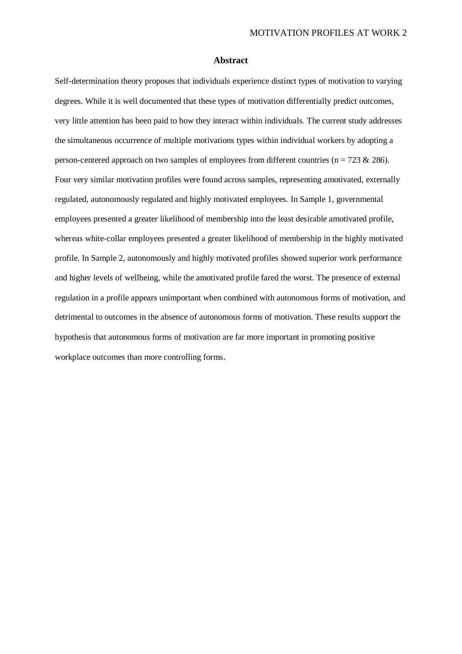#### **Abstract**

Self-determination theory proposes that individuals experience distinct types of motivation to varying degrees. While it is well documented that these types of motivation differentially predict outcomes, very little attention has been paid to how they interact within individuals. The current study addresses the simultaneous occurrence of multiple motivations types within individual workers by adopting a person-centered approach on two samples of employees from different countries ( $n = 723 \& 286$ ). Four very similar motivation profiles were found across samples, representing amotivated, externally regulated, autonomously regulated and highly motivated employees. In Sample 1, governmental employees presented a greater likelihood of membership into the least desirable amotivated profile, whereas white-collar employees presented a greater likelihood of membership in the highly motivated profile. In Sample 2, autonomously and highly motivated profiles showed superior work performance and higher levels of wellbeing, while the amotivated profile fared the worst. The presence of external regulation in a profile appears unimportant when combined with autonomous forms of motivation, and detrimental to outcomes in the absence of autonomous forms of motivation. These results support the hypothesis that autonomous forms of motivation are far more important in promoting positive workplace outcomes than more controlling forms.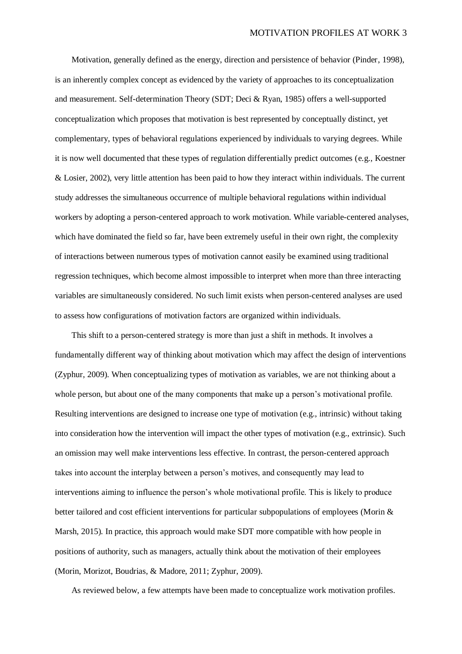Motivation, generally defined as the energy, direction and persistence of behavior (Pinder, 1998), is an inherently complex concept as evidenced by the variety of approaches to its conceptualization and measurement. Self-determination Theory (SDT; Deci & Ryan, 1985) offers a well-supported conceptualization which proposes that motivation is best represented by conceptually distinct, yet complementary, types of behavioral regulations experienced by individuals to varying degrees. While it is now well documented that these types of regulation differentially predict outcomes (e.g., Koestner & Losier, 2002), very little attention has been paid to how they interact within individuals. The current study addresses the simultaneous occurrence of multiple behavioral regulations within individual workers by adopting a person-centered approach to work motivation. While variable-centered analyses, which have dominated the field so far, have been extremely useful in their own right, the complexity of interactions between numerous types of motivation cannot easily be examined using traditional regression techniques, which become almost impossible to interpret when more than three interacting variables are simultaneously considered. No such limit exists when person-centered analyses are used to assess how configurations of motivation factors are organized within individuals.

This shift to a person-centered strategy is more than just a shift in methods. It involves a fundamentally different way of thinking about motivation which may affect the design of interventions (Zyphur, 2009). When conceptualizing types of motivation as variables, we are not thinking about a whole person, but about one of the many components that make up a person's motivational profile. Resulting interventions are designed to increase one type of motivation (e.g., intrinsic) without taking into consideration how the intervention will impact the other types of motivation (e.g., extrinsic). Such an omission may well make interventions less effective. In contrast, the person-centered approach takes into account the interplay between a person's motives, and consequently may lead to interventions aiming to influence the person's whole motivational profile. This is likely to produce better tailored and cost efficient interventions for particular subpopulations of employees (Morin & Marsh, 2015). In practice, this approach would make SDT more compatible with how people in positions of authority, such as managers, actually think about the motivation of their employees (Morin, Morizot, Boudrias, & Madore, 2011; Zyphur, 2009).

As reviewed below, a few attempts have been made to conceptualize work motivation profiles.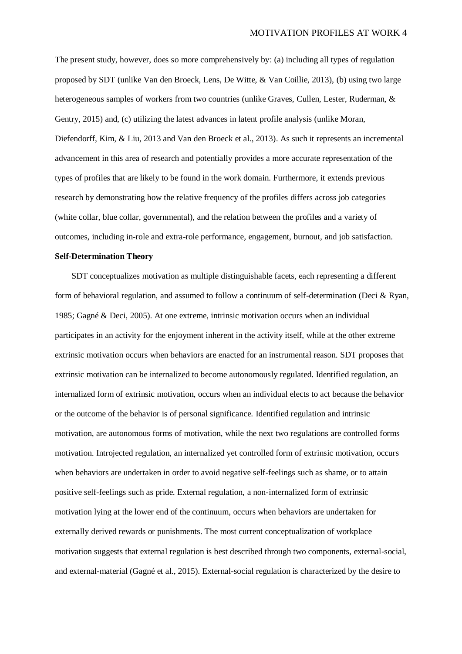The present study, however, does so more comprehensively by: (a) including all types of regulation proposed by SDT (unlike Van den Broeck, Lens, De Witte, & Van Coillie, 2013), (b) using two large heterogeneous samples of workers from two countries (unlike Graves, Cullen, Lester, Ruderman, & Gentry, 2015) and, (c) utilizing the latest advances in latent profile analysis (unlike Moran, Diefendorff, Kim, & Liu, 2013 and Van den Broeck et al., 2013). As such it represents an incremental advancement in this area of research and potentially provides a more accurate representation of the types of profiles that are likely to be found in the work domain. Furthermore, it extends previous research by demonstrating how the relative frequency of the profiles differs across job categories (white collar, blue collar, governmental), and the relation between the profiles and a variety of outcomes, including in-role and extra-role performance, engagement, burnout, and job satisfaction.

#### **Self-Determination Theory**

SDT conceptualizes motivation as multiple distinguishable facets, each representing a different form of behavioral regulation, and assumed to follow a continuum of self-determination (Deci & Ryan, 1985; Gagné & Deci, 2005). At one extreme, intrinsic motivation occurs when an individual participates in an activity for the enjoyment inherent in the activity itself, while at the other extreme extrinsic motivation occurs when behaviors are enacted for an instrumental reason. SDT proposes that extrinsic motivation can be internalized to become autonomously regulated. Identified regulation, an internalized form of extrinsic motivation, occurs when an individual elects to act because the behavior or the outcome of the behavior is of personal significance. Identified regulation and intrinsic motivation, are autonomous forms of motivation, while the next two regulations are controlled forms motivation. Introjected regulation, an internalized yet controlled form of extrinsic motivation, occurs when behaviors are undertaken in order to avoid negative self-feelings such as shame, or to attain positive self-feelings such as pride. External regulation, a non-internalized form of extrinsic motivation lying at the lower end of the continuum, occurs when behaviors are undertaken for externally derived rewards or punishments. The most current conceptualization of workplace motivation suggests that external regulation is best described through two components, external-social, and external-material (Gagné et al., 2015). External-social regulation is characterized by the desire to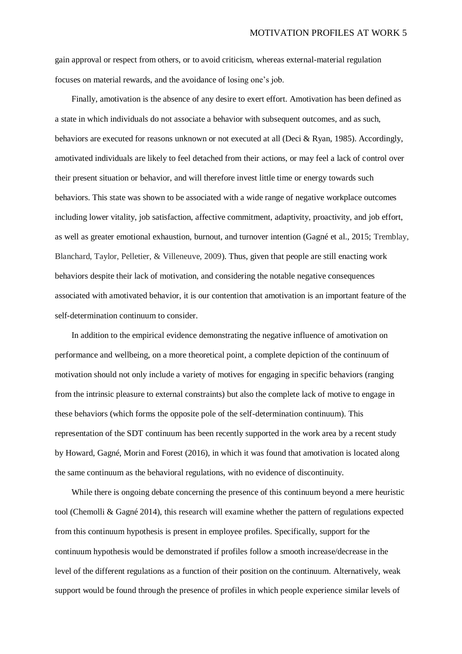gain approval or respect from others, or to avoid criticism, whereas external-material regulation focuses on material rewards, and the avoidance of losing one's job.

Finally, amotivation is the absence of any desire to exert effort. Amotivation has been defined as a state in which individuals do not associate a behavior with subsequent outcomes, and as such, behaviors are executed for reasons unknown or not executed at all (Deci & Ryan, 1985). Accordingly, amotivated individuals are likely to feel detached from their actions, or may feel a lack of control over their present situation or behavior, and will therefore invest little time or energy towards such behaviors. This state was shown to be associated with a wide range of negative workplace outcomes including lower vitality, job satisfaction, affective commitment, adaptivity, proactivity, and job effort, as well as greater emotional exhaustion, burnout, and turnover intention (Gagné et al., 2015; Tremblay, Blanchard, Taylor, Pelletier, & Villeneuve, 2009). Thus, given that people are still enacting work behaviors despite their lack of motivation, and considering the notable negative consequences associated with amotivated behavior, it is our contention that amotivation is an important feature of the self-determination continuum to consider.

In addition to the empirical evidence demonstrating the negative influence of amotivation on performance and wellbeing, on a more theoretical point, a complete depiction of the continuum of motivation should not only include a variety of motives for engaging in specific behaviors (ranging from the intrinsic pleasure to external constraints) but also the complete lack of motive to engage in these behaviors (which forms the opposite pole of the self-determination continuum). This representation of the SDT continuum has been recently supported in the work area by a recent study by Howard, Gagné, Morin and Forest (2016), in which it was found that amotivation is located along the same continuum as the behavioral regulations, with no evidence of discontinuity.

While there is ongoing debate concerning the presence of this continuum beyond a mere heuristic tool (Chemolli & Gagné 2014), this research will examine whether the pattern of regulations expected from this continuum hypothesis is present in employee profiles. Specifically, support for the continuum hypothesis would be demonstrated if profiles follow a smooth increase/decrease in the level of the different regulations as a function of their position on the continuum. Alternatively, weak support would be found through the presence of profiles in which people experience similar levels of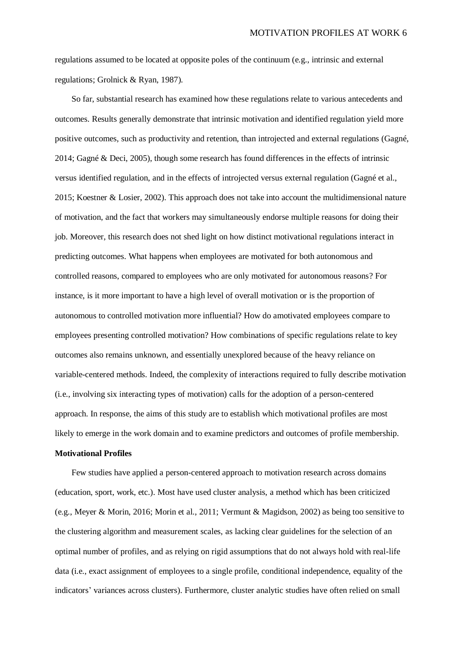regulations assumed to be located at opposite poles of the continuum (e.g., intrinsic and external regulations; Grolnick & Ryan, 1987).

So far, substantial research has examined how these regulations relate to various antecedents and outcomes. Results generally demonstrate that intrinsic motivation and identified regulation yield more positive outcomes, such as productivity and retention, than introjected and external regulations (Gagné, 2014; Gagné & Deci, 2005), though some research has found differences in the effects of intrinsic versus identified regulation, and in the effects of introjected versus external regulation (Gagné et al., 2015; Koestner & Losier, 2002). This approach does not take into account the multidimensional nature of motivation, and the fact that workers may simultaneously endorse multiple reasons for doing their job. Moreover, this research does not shed light on how distinct motivational regulations interact in predicting outcomes. What happens when employees are motivated for both autonomous and controlled reasons, compared to employees who are only motivated for autonomous reasons? For instance, is it more important to have a high level of overall motivation or is the proportion of autonomous to controlled motivation more influential? How do amotivated employees compare to employees presenting controlled motivation? How combinations of specific regulations relate to key outcomes also remains unknown, and essentially unexplored because of the heavy reliance on variable-centered methods. Indeed, the complexity of interactions required to fully describe motivation (i.e., involving six interacting types of motivation) calls for the adoption of a person-centered approach. In response, the aims of this study are to establish which motivational profiles are most likely to emerge in the work domain and to examine predictors and outcomes of profile membership.

### **Motivational Profiles**

Few studies have applied a person-centered approach to motivation research across domains (education, sport, work, etc.). Most have used cluster analysis, a method which has been criticized (e.g., Meyer & Morin, 2016; Morin et al., 2011; Vermunt & Magidson, 2002) as being too sensitive to the clustering algorithm and measurement scales, as lacking clear guidelines for the selection of an optimal number of profiles, and as relying on rigid assumptions that do not always hold with real-life data (i.e., exact assignment of employees to a single profile, conditional independence, equality of the indicators' variances across clusters). Furthermore, cluster analytic studies have often relied on small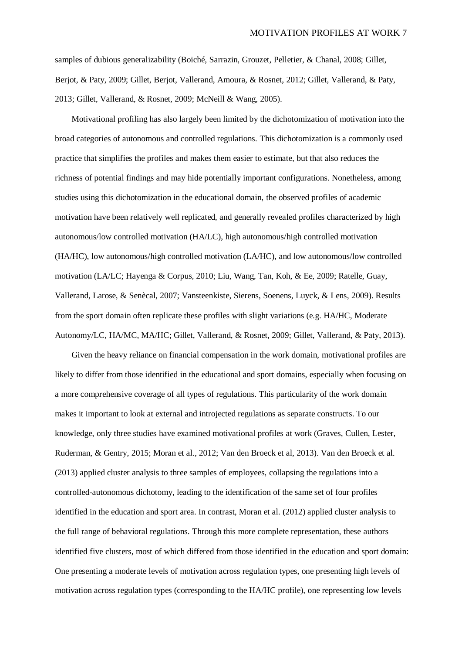samples of dubious generalizability (Boiché, Sarrazin, Grouzet, Pelletier, & Chanal, 2008; Gillet, Berjot, & Paty, 2009; Gillet, Berjot, Vallerand, Amoura, & Rosnet, 2012; Gillet, Vallerand, & Paty, 2013; Gillet, Vallerand, & Rosnet, 2009; McNeill & Wang, 2005).

Motivational profiling has also largely been limited by the dichotomization of motivation into the broad categories of autonomous and controlled regulations. This dichotomization is a commonly used practice that simplifies the profiles and makes them easier to estimate, but that also reduces the richness of potential findings and may hide potentially important configurations. Nonetheless, among studies using this dichotomization in the educational domain, the observed profiles of academic motivation have been relatively well replicated, and generally revealed profiles characterized by high autonomous/low controlled motivation (HA/LC), high autonomous/high controlled motivation (HA/HC), low autonomous/high controlled motivation (LA/HC), and low autonomous/low controlled motivation (LA/LC; Hayenga & Corpus, 2010; Liu, Wang, Tan, Koh, & Ee, 2009; Ratelle, Guay, Vallerand, Larose, & Senècal, 2007; Vansteenkiste, Sierens, Soenens, Luyck, & Lens, 2009). Results from the sport domain often replicate these profiles with slight variations (e.g. HA/HC, Moderate Autonomy/LC, HA/MC, MA/HC; Gillet, Vallerand, & Rosnet, 2009; Gillet, Vallerand, & Paty, 2013).

Given the heavy reliance on financial compensation in the work domain, motivational profiles are likely to differ from those identified in the educational and sport domains, especially when focusing on a more comprehensive coverage of all types of regulations. This particularity of the work domain makes it important to look at external and introjected regulations as separate constructs. To our knowledge, only three studies have examined motivational profiles at work (Graves, Cullen, Lester, Ruderman, & Gentry, 2015; Moran et al., 2012; Van den Broeck et al, 2013). Van den Broeck et al. (2013) applied cluster analysis to three samples of employees, collapsing the regulations into a controlled-autonomous dichotomy, leading to the identification of the same set of four profiles identified in the education and sport area. In contrast, Moran et al. (2012) applied cluster analysis to the full range of behavioral regulations. Through this more complete representation, these authors identified five clusters, most of which differed from those identified in the education and sport domain: One presenting a moderate levels of motivation across regulation types, one presenting high levels of motivation across regulation types (corresponding to the HA/HC profile), one representing low levels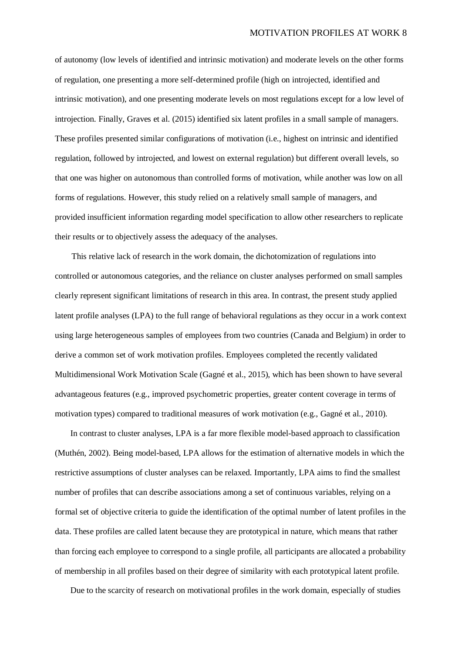of autonomy (low levels of identified and intrinsic motivation) and moderate levels on the other forms of regulation, one presenting a more self-determined profile (high on introjected, identified and intrinsic motivation), and one presenting moderate levels on most regulations except for a low level of introjection. Finally, Graves et al. (2015) identified six latent profiles in a small sample of managers. These profiles presented similar configurations of motivation (i.e., highest on intrinsic and identified regulation, followed by introjected, and lowest on external regulation) but different overall levels, so that one was higher on autonomous than controlled forms of motivation, while another was low on all forms of regulations. However, this study relied on a relatively small sample of managers, and provided insufficient information regarding model specification to allow other researchers to replicate their results or to objectively assess the adequacy of the analyses.

This relative lack of research in the work domain, the dichotomization of regulations into controlled or autonomous categories, and the reliance on cluster analyses performed on small samples clearly represent significant limitations of research in this area. In contrast, the present study applied latent profile analyses (LPA) to the full range of behavioral regulations as they occur in a work context using large heterogeneous samples of employees from two countries (Canada and Belgium) in order to derive a common set of work motivation profiles. Employees completed the recently validated Multidimensional Work Motivation Scale (Gagné et al., 2015), which has been shown to have several advantageous features (e.g., improved psychometric properties, greater content coverage in terms of motivation types) compared to traditional measures of work motivation (e.g., Gagné et al., 2010).

In contrast to cluster analyses, LPA is a far more flexible model-based approach to classification (Muthén, 2002). Being model-based, LPA allows for the estimation of alternative models in which the restrictive assumptions of cluster analyses can be relaxed. Importantly, LPA aims to find the smallest number of profiles that can describe associations among a set of continuous variables, relying on a formal set of objective criteria to guide the identification of the optimal number of latent profiles in the data. These profiles are called latent because they are prototypical in nature, which means that rather than forcing each employee to correspond to a single profile, all participants are allocated a probability of membership in all profiles based on their degree of similarity with each prototypical latent profile.

Due to the scarcity of research on motivational profiles in the work domain, especially of studies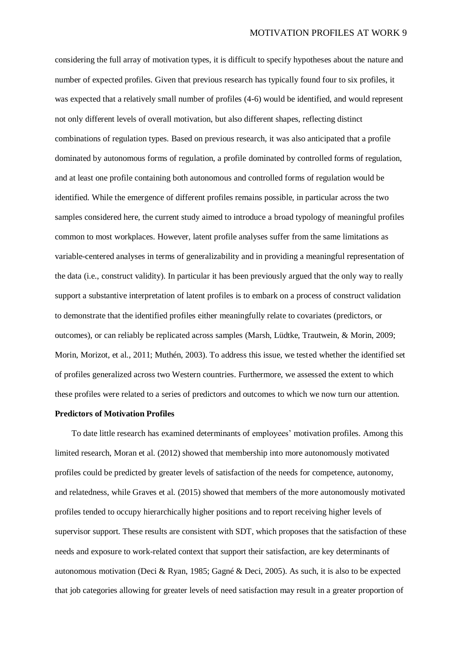considering the full array of motivation types, it is difficult to specify hypotheses about the nature and number of expected profiles. Given that previous research has typically found four to six profiles, it was expected that a relatively small number of profiles (4-6) would be identified, and would represent not only different levels of overall motivation, but also different shapes, reflecting distinct combinations of regulation types. Based on previous research, it was also anticipated that a profile dominated by autonomous forms of regulation, a profile dominated by controlled forms of regulation, and at least one profile containing both autonomous and controlled forms of regulation would be identified. While the emergence of different profiles remains possible, in particular across the two samples considered here, the current study aimed to introduce a broad typology of meaningful profiles common to most workplaces. However, latent profile analyses suffer from the same limitations as variable-centered analyses in terms of generalizability and in providing a meaningful representation of the data (i.e., construct validity). In particular it has been previously argued that the only way to really support a substantive interpretation of latent profiles is to embark on a process of construct validation to demonstrate that the identified profiles either meaningfully relate to covariates (predictors, or outcomes), or can reliably be replicated across samples (Marsh, Lüdtke, Trautwein, & Morin, 2009; Morin, Morizot, et al., 2011; Muthén, 2003). To address this issue, we tested whether the identified set of profiles generalized across two Western countries. Furthermore, we assessed the extent to which these profiles were related to a series of predictors and outcomes to which we now turn our attention.

#### **Predictors of Motivation Profiles**

To date little research has examined determinants of employees' motivation profiles. Among this limited research, Moran et al. (2012) showed that membership into more autonomously motivated profiles could be predicted by greater levels of satisfaction of the needs for competence, autonomy, and relatedness, while Graves et al. (2015) showed that members of the more autonomously motivated profiles tended to occupy hierarchically higher positions and to report receiving higher levels of supervisor support. These results are consistent with SDT, which proposes that the satisfaction of these needs and exposure to work-related context that support their satisfaction, are key determinants of autonomous motivation (Deci & Ryan, 1985; Gagné & Deci, 2005). As such, it is also to be expected that job categories allowing for greater levels of need satisfaction may result in a greater proportion of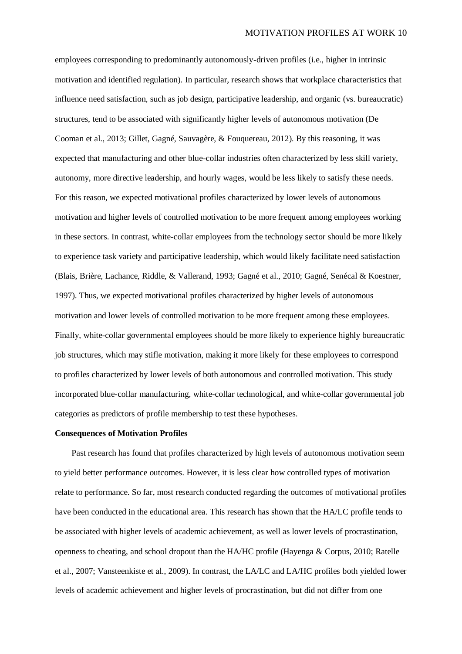employees corresponding to predominantly autonomously-driven profiles (i.e., higher in intrinsic motivation and identified regulation). In particular, research shows that workplace characteristics that influence need satisfaction, such as job design, participative leadership, and organic (vs. bureaucratic) structures, tend to be associated with significantly higher levels of autonomous motivation (De Cooman et al., 2013; Gillet, Gagné, Sauvagère, & Fouquereau, 2012). By this reasoning, it was expected that manufacturing and other blue-collar industries often characterized by less skill variety, autonomy, more directive leadership, and hourly wages, would be less likely to satisfy these needs. For this reason, we expected motivational profiles characterized by lower levels of autonomous motivation and higher levels of controlled motivation to be more frequent among employees working in these sectors. In contrast, white-collar employees from the technology sector should be more likely to experience task variety and participative leadership, which would likely facilitate need satisfaction (Blais, Brière, Lachance, Riddle, & Vallerand, 1993; Gagné et al., 2010; Gagné, Senécal & Koestner, 1997). Thus, we expected motivational profiles characterized by higher levels of autonomous motivation and lower levels of controlled motivation to be more frequent among these employees. Finally, white-collar governmental employees should be more likely to experience highly bureaucratic job structures, which may stifle motivation, making it more likely for these employees to correspond to profiles characterized by lower levels of both autonomous and controlled motivation. This study incorporated blue-collar manufacturing, white-collar technological, and white-collar governmental job categories as predictors of profile membership to test these hypotheses.

#### **Consequences of Motivation Profiles**

Past research has found that profiles characterized by high levels of autonomous motivation seem to yield better performance outcomes. However, it is less clear how controlled types of motivation relate to performance. So far, most research conducted regarding the outcomes of motivational profiles have been conducted in the educational area. This research has shown that the HA/LC profile tends to be associated with higher levels of academic achievement, as well as lower levels of procrastination, openness to cheating, and school dropout than the HA/HC profile (Hayenga & Corpus, 2010; Ratelle et al., 2007; Vansteenkiste et al., 2009). In contrast, the LA/LC and LA/HC profiles both yielded lower levels of academic achievement and higher levels of procrastination, but did not differ from one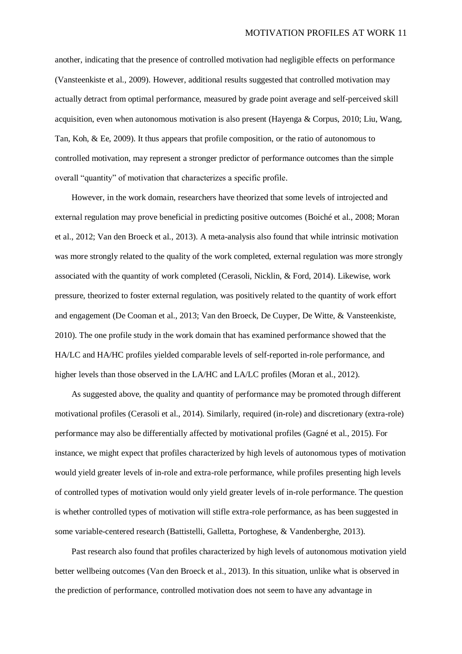another, indicating that the presence of controlled motivation had negligible effects on performance (Vansteenkiste et al., 2009). However, additional results suggested that controlled motivation may actually detract from optimal performance, measured by grade point average and self-perceived skill acquisition, even when autonomous motivation is also present (Hayenga & Corpus, 2010; Liu, Wang, Tan, Koh, & Ee, 2009). It thus appears that profile composition, or the ratio of autonomous to controlled motivation, may represent a stronger predictor of performance outcomes than the simple overall "quantity" of motivation that characterizes a specific profile.

However, in the work domain, researchers have theorized that some levels of introjected and external regulation may prove beneficial in predicting positive outcomes (Boiché et al., 2008; Moran et al., 2012; Van den Broeck et al., 2013). A meta-analysis also found that while intrinsic motivation was more strongly related to the quality of the work completed, external regulation was more strongly associated with the quantity of work completed (Cerasoli, Nicklin, & Ford, 2014). Likewise, work pressure, theorized to foster external regulation, was positively related to the quantity of work effort and engagement (De Cooman et al., 2013; Van den Broeck, De Cuyper, De Witte, & Vansteenkiste, 2010). The one profile study in the work domain that has examined performance showed that the HA/LC and HA/HC profiles yielded comparable levels of self-reported in-role performance, and higher levels than those observed in the LA/HC and LA/LC profiles (Moran et al., 2012).

As suggested above, the quality and quantity of performance may be promoted through different motivational profiles (Cerasoli et al., 2014). Similarly, required (in-role) and discretionary (extra-role) performance may also be differentially affected by motivational profiles (Gagné et al., 2015). For instance, we might expect that profiles characterized by high levels of autonomous types of motivation would yield greater levels of in-role and extra-role performance, while profiles presenting high levels of controlled types of motivation would only yield greater levels of in-role performance. The question is whether controlled types of motivation will stifle extra-role performance, as has been suggested in some variable-centered research (Battistelli, Galletta, Portoghese, & Vandenberghe, 2013).

Past research also found that profiles characterized by high levels of autonomous motivation yield better wellbeing outcomes (Van den Broeck et al., 2013). In this situation, unlike what is observed in the prediction of performance, controlled motivation does not seem to have any advantage in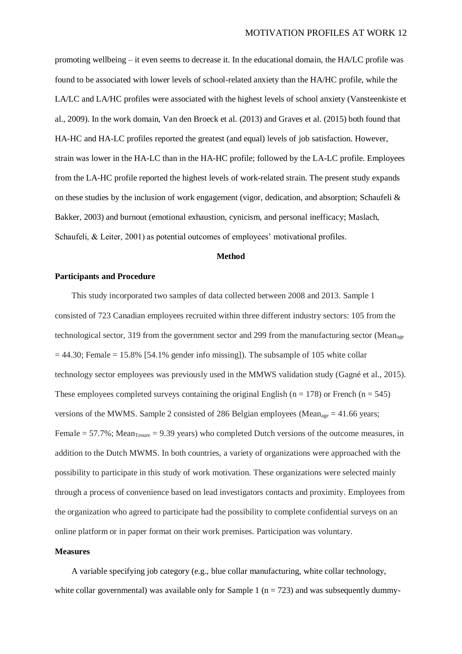promoting wellbeing – it even seems to decrease it. In the educational domain, the HA/LC profile was found to be associated with lower levels of school-related anxiety than the HA/HC profile, while the LA/LC and LA/HC profiles were associated with the highest levels of school anxiety (Vansteenkiste et al., 2009). In the work domain, Van den Broeck et al. (2013) and Graves et al. (2015) both found that HA-HC and HA-LC profiles reported the greatest (and equal) levels of job satisfaction. However, strain was lower in the HA-LC than in the HA-HC profile; followed by the LA-LC profile. Employees from the LA-HC profile reported the highest levels of work-related strain. The present study expands on these studies by the inclusion of work engagement (vigor, dedication, and absorption; Schaufeli & Bakker, 2003) and burnout (emotional exhaustion, cynicism, and personal inefficacy; Maslach, Schaufeli, & Leiter, 2001) as potential outcomes of employees' motivational profiles.

#### **Method**

### **Participants and Procedure**

This study incorporated two samples of data collected between 2008 and 2013. Sample 1 consisted of 723 Canadian employees recruited within three different industry sectors: 105 from the technological sector, 319 from the government sector and 299 from the manufacturing sector (Mean<sub>age</sub>)  $= 44.30$ ; Female  $= 15.8\%$  [54.1% gender info missing]). The subsample of 105 white collar technology sector employees was previously used in the MMWS validation study (Gagné et al., 2015). These employees completed surveys containing the original English ( $n = 178$ ) or French ( $n = 545$ ) versions of the MWMS. Sample 2 consisted of 286 Belgian employees (Mean<sub>age</sub> = 41.66 years; Female =  $57.7\%$ ; Mean<sub>Tenure</sub> =  $9.39$  years) who completed Dutch versions of the outcome measures, in addition to the Dutch MWMS. In both countries, a variety of organizations were approached with the possibility to participate in this study of work motivation. These organizations were selected mainly through a process of convenience based on lead investigators contacts and proximity. Employees from the organization who agreed to participate had the possibility to complete confidential surveys on an online platform or in paper format on their work premises. Participation was voluntary.

#### **Measures**

A variable specifying job category (e.g., blue collar manufacturing, white collar technology, white collar governmental) was available only for Sample 1 ( $n = 723$ ) and was subsequently dummy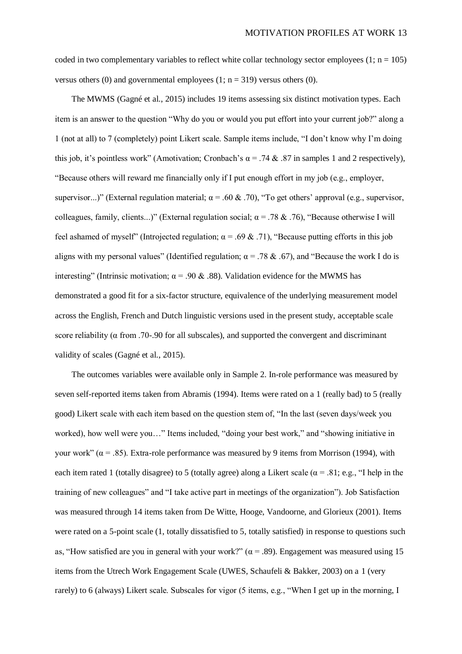coded in two complementary variables to reflect white collar technology sector employees  $(1; n = 105)$ versus others (0) and governmental employees  $(1; n = 319)$  versus others (0).

The MWMS (Gagné et al., 2015) includes 19 items assessing six distinct motivation types. Each item is an answer to the question "Why do you or would you put effort into your current job?" along a 1 (not at all) to 7 (completely) point Likert scale. Sample items include, "I don't know why I'm doing this job, it's pointless work" (Amotivation; Cronbach's  $\alpha$  = .74 & .87 in samples 1 and 2 respectively), "Because others will reward me financially only if I put enough effort in my job (e.g., employer, supervisor...)" (External regulation material;  $\alpha$  = .60 & .70), "To get others' approval (e.g., supervisor, colleagues, family, clients...)" (External regulation social;  $\alpha$  = .78 & .76), "Because otherwise I will feel ashamed of myself" (Introjected regulation;  $\alpha = .69 \& .71$ ), "Because putting efforts in this job aligns with my personal values" (Identified regulation;  $\alpha = .78 \& .67$ ), and "Because the work I do is interesting" (Intrinsic motivation;  $\alpha$  = .90 & .88). Validation evidence for the MWMS has demonstrated a good fit for a six-factor structure, equivalence of the underlying measurement model across the English, French and Dutch linguistic versions used in the present study, acceptable scale score reliability ( $\alpha$  from .70-.90 for all subscales), and supported the convergent and discriminant validity of scales (Gagné et al., 2015).

The outcomes variables were available only in Sample 2. In-role performance was measured by seven self-reported items taken from Abramis (1994). Items were rated on a 1 (really bad) to 5 (really good) Likert scale with each item based on the question stem of, "In the last (seven days/week you worked), how well were you…" Items included, "doing your best work," and "showing initiative in your work" (α = .85). Extra-role performance was measured by 9 items from Morrison (1994), with each item rated 1 (totally disagree) to 5 (totally agree) along a Likert scale ( $\alpha = .81$ ; e.g., "I help in the training of new colleagues" and "I take active part in meetings of the organization"). Job Satisfaction was measured through 14 items taken from De Witte, Hooge, Vandoorne, and Glorieux (2001). Items were rated on a 5-point scale (1, totally dissatisfied to 5, totally satisfied) in response to questions such as, "How satisfied are you in general with your work?" ( $\alpha$  = .89). Engagement was measured using 15 items from the Utrech Work Engagement Scale (UWES, Schaufeli & Bakker, 2003) on a 1 (very rarely) to 6 (always) Likert scale. Subscales for vigor (5 items, e.g., "When I get up in the morning, I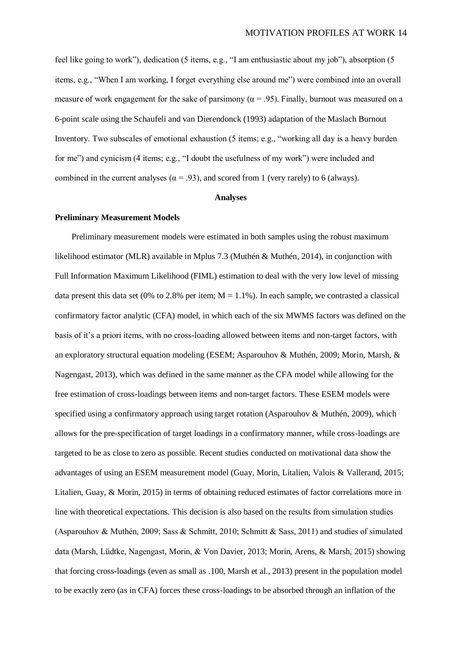feel like going to work"), dedication (5 items, e.g., "I am enthusiastic about my job"), absorption (5 items, e.g., "When I am working, I forget everything else around me") were combined into an overall measure of work engagement for the sake of parsimony ( $\alpha$  = .95). Finally, burnout was measured on a 6-point scale using the Schaufeli and van Dierendonck (1993) adaptation of the Maslach Burnout Inventory. Two subscales of emotional exhaustion (5 items; e.g., "working all day is a heavy burden for me") and cynicism (4 items; e.g., "I doubt the usefulness of my work") were included and combined in the current analyses ( $\alpha$  = .93), and scored from 1 (very rarely) to 6 (always).

#### **Analyses**

### **Preliminary Measurement Models**

Preliminary measurement models were estimated in both samples using the robust maximum likelihood estimator (MLR) available in Mplus 7.3 (Muthén & Muthén, 2014), in conjunction with Full Information Maximum Likelihood (FIML) estimation to deal with the very low level of missing data present this data set (0% to 2.8% per item;  $M = 1.1\%$ ). In each sample, we contrasted a classical confirmatory factor analytic (CFA) model, in which each of the six MWMS factors was defined on the basis of it's a priori items, with no cross-loading allowed between items and non-target factors, with an exploratory structural equation modeling (ESEM; Asparouhov & Muthén, 2009; Morin, Marsh, & Nagengast, 2013), which was defined in the same manner as the CFA model while allowing for the free estimation of cross-loadings between items and non-target factors. These ESEM models were specified using a confirmatory approach using target rotation (Asparouhov & Muthén, 2009), which allows for the pre-specification of target loadings in a confirmatory manner, while cross-loadings are targeted to be as close to zero as possible. Recent studies conducted on motivational data show the advantages of using an ESEM measurement model (Guay, Morin, Litalien, Valois & Vallerand, 2015; Litalien, Guay, & Morin, 2015) in terms of obtaining reduced estimates of factor correlations more in line with theoretical expectations. This decision is also based on the results from simulation studies (Asparouhov & Muthén, 2009; Sass & Schmitt, 2010; Schmitt & Sass, 2011) and studies of simulated data (Marsh, Lüdtke, Nagengast, Morin, & Von Davier, 2013; Morin, Arens, & Marsh, 2015) showing that forcing cross-loadings (even as small as .100, Marsh et al., 2013) present in the population model to be exactly zero (as in CFA) forces these cross-loadings to be absorbed through an inflation of the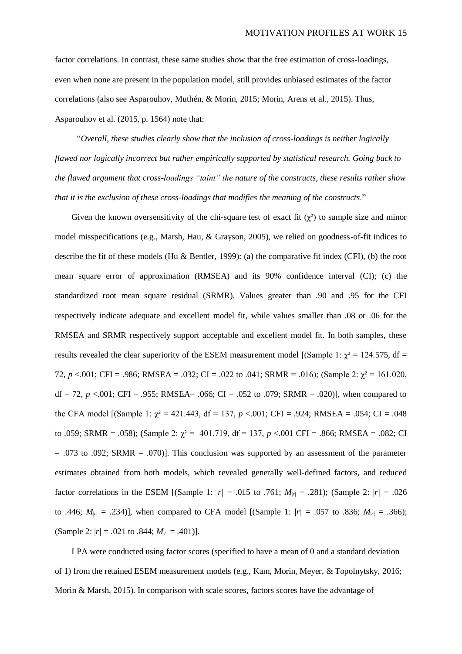factor correlations. In contrast, these same studies show that the free estimation of cross-loadings, even when none are present in the population model, still provides unbiased estimates of the factor correlations (also see Asparouhov, Muthén, & Morin, 2015; Morin, Arens et al., 2015). Thus, Asparouhov et al. (2015, p. 1564) note that:

"*Overall, these studies clearly show that the inclusion of cross-loadings is neither logically flawed nor logically incorrect but rather empirically supported by statistical research. Going back to the flawed argument that cross-loadings "taint" the nature of the constructs, these results rather show that it is the exclusion of these cross-loadings that modifies the meaning of the constructs*."

Given the known oversensitivity of the chi-square test of exact fit  $(\gamma^2)$  to sample size and minor model misspecifications (e.g., Marsh, Hau, & Grayson, 2005), we relied on goodness-of-fit indices to describe the fit of these models (Hu & Bentler, 1999): (a) the comparative fit index (CFI), (b) the root mean square error of approximation (RMSEA) and its 90% confidence interval (CI); (c) the standardized root mean square residual (SRMR). Values greater than .90 and .95 for the CFI respectively indicate adequate and excellent model fit, while values smaller than .08 or .06 for the RMSEA and SRMR respectively support acceptable and excellent model fit. In both samples, these results revealed the clear superiority of the ESEM measurement model [(Sample 1:  $\chi^2$  = 124.575, df = 72,  $p < .001$ ; CFI = .986; RMSEA = .032; CI = .022 to .041; SRMR = .016); (Sample 2:  $\chi^2$  = 161.020, df = 72,  $p \le 0.001$ ; CFI = .955; RMSEA= .066; CI = .052 to .079; SRMR = .020)], when compared to the CFA model  $[(Sample 1: \chi^2 = 421.443, df = 137, p < .001; CFI = .924; RMSEA = .054; CI = .048]$ to .059; SRMR = .058); (Sample 2:  $\chi^2$  = 401.719, df = 137, *p* <.001 CFI = .866; RMSEA = .082; CI  $= .073$  to  $.092$ ; SRMR  $= .070$ ]. This conclusion was supported by an assessment of the parameter estimates obtained from both models, which revealed generally well-defined factors, and reduced factor correlations in the ESEM [(Sample 1:  $|r| = .015$  to .761;  $M_{|r|} = .281$ ); (Sample 2:  $|r| = .026$ to .446; *M*|*r|* = .234)], when compared to CFA model [(Sample 1: |*r|* = .057 to .836; *M*|*r|* = .366); (Sample 2:  $|r| = .021$  to  $.844$ ;  $M_{|r|} = .401$ )].

LPA were conducted using factor scores (specified to have a mean of 0 and a standard deviation of 1) from the retained ESEM measurement models (e.g., Kam, Morin, Meyer, & Topolnytsky, 2016; Morin & Marsh, 2015). In comparison with scale scores, factors scores have the advantage of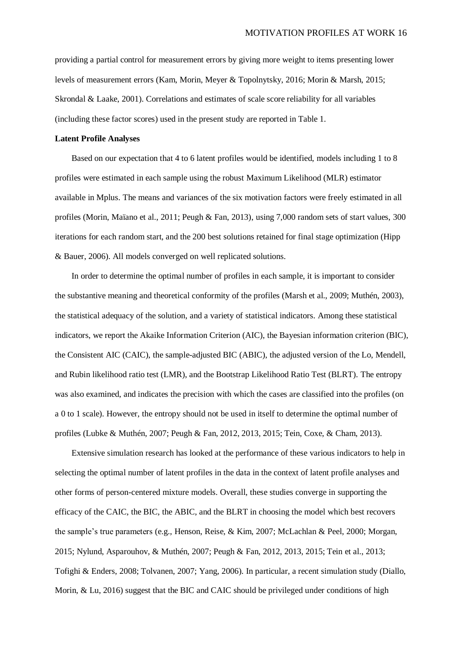providing a partial control for measurement errors by giving more weight to items presenting lower levels of measurement errors (Kam, Morin, Meyer & Topolnytsky, 2016; Morin & Marsh, 2015; Skrondal & Laake, 2001). Correlations and estimates of scale score reliability for all variables (including these factor scores) used in the present study are reported in Table 1.

#### **Latent Profile Analyses**

Based on our expectation that 4 to 6 latent profiles would be identified, models including 1 to 8 profiles were estimated in each sample using the robust Maximum Likelihood (MLR) estimator available in Mplus. The means and variances of the six motivation factors were freely estimated in all profiles (Morin, Maïano et al., 2011; Peugh & Fan, 2013), using 7,000 random sets of start values, 300 iterations for each random start, and the 200 best solutions retained for final stage optimization (Hipp & Bauer, 2006). All models converged on well replicated solutions.

In order to determine the optimal number of profiles in each sample, it is important to consider the substantive meaning and theoretical conformity of the profiles (Marsh et al., 2009; Muthén, 2003), the statistical adequacy of the solution, and a variety of statistical indicators. Among these statistical indicators, we report the Akaike Information Criterion (AIC), the Bayesian information criterion (BIC), the Consistent AIC (CAIC), the sample-adjusted BIC (ABIC), the adjusted version of the Lo, Mendell, and Rubin likelihood ratio test (LMR), and the Bootstrap Likelihood Ratio Test (BLRT). The entropy was also examined, and indicates the precision with which the cases are classified into the profiles (on a 0 to 1 scale). However, the entropy should not be used in itself to determine the optimal number of profiles (Lubke & Muthén, 2007; Peugh & Fan, 2012, 2013, 2015; Tein, Coxe, & Cham, 2013).

Extensive simulation research has looked at the performance of these various indicators to help in selecting the optimal number of latent profiles in the data in the context of latent profile analyses and other forms of person-centered mixture models. Overall, these studies converge in supporting the efficacy of the CAIC, the BIC, the ABIC, and the BLRT in choosing the model which best recovers the sample's true parameters (e.g., Henson, Reise, & Kim, 2007; McLachlan & Peel, 2000; Morgan, 2015; Nylund, Asparouhov, & Muthén, 2007; Peugh & Fan, 2012, 2013, 2015; Tein et al., 2013; Tofighi & Enders, 2008; Tolvanen, 2007; Yang, 2006). In particular, a recent simulation study (Diallo, Morin, & Lu, 2016) suggest that the BIC and CAIC should be privileged under conditions of high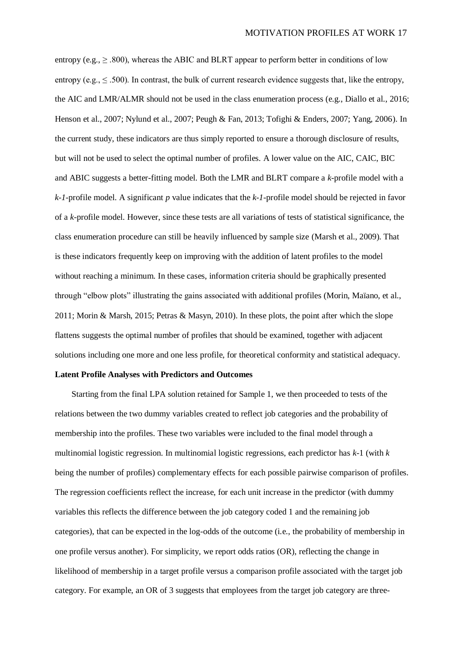entropy (e.g.,  $\geq$  .800), whereas the ABIC and BLRT appear to perform better in conditions of low entropy (e.g.,  $\leq$  .500). In contrast, the bulk of current research evidence suggests that, like the entropy, the AIC and LMR/ALMR should not be used in the class enumeration process (e.g., Diallo et al., 2016; Henson et al., 2007; Nylund et al., 2007; Peugh & Fan, 2013; Tofighi & Enders, 2007; Yang, 2006). In the current study, these indicators are thus simply reported to ensure a thorough disclosure of results, but will not be used to select the optimal number of profiles. A lower value on the AIC, CAIC, BIC and ABIC suggests a better-fitting model. Both the LMR and BLRT compare a *k*-profile model with a *k-1*-profile model. A significant *p* value indicates that the *k-1*-profile model should be rejected in favor of a *k-*profile model. However, since these tests are all variations of tests of statistical significance, the class enumeration procedure can still be heavily influenced by sample size (Marsh et al., 2009). That is these indicators frequently keep on improving with the addition of latent profiles to the model without reaching a minimum. In these cases, information criteria should be graphically presented through "elbow plots" illustrating the gains associated with additional profiles (Morin, Maïano, et al., 2011; Morin & Marsh, 2015; Petras & Masyn, 2010). In these plots, the point after which the slope flattens suggests the optimal number of profiles that should be examined, together with adjacent solutions including one more and one less profile, for theoretical conformity and statistical adequacy.

#### **Latent Profile Analyses with Predictors and Outcomes**

Starting from the final LPA solution retained for Sample 1, we then proceeded to tests of the relations between the two dummy variables created to reflect job categories and the probability of membership into the profiles. These two variables were included to the final model through a multinomial logistic regression. In multinomial logistic regressions, each predictor has *k*-1 (with *k* being the number of profiles) complementary effects for each possible pairwise comparison of profiles. The regression coefficients reflect the increase, for each unit increase in the predictor (with dummy variables this reflects the difference between the job category coded 1 and the remaining job categories), that can be expected in the log-odds of the outcome (i.e., the probability of membership in one profile versus another). For simplicity, we report odds ratios (OR), reflecting the change in likelihood of membership in a target profile versus a comparison profile associated with the target job category. For example, an OR of 3 suggests that employees from the target job category are three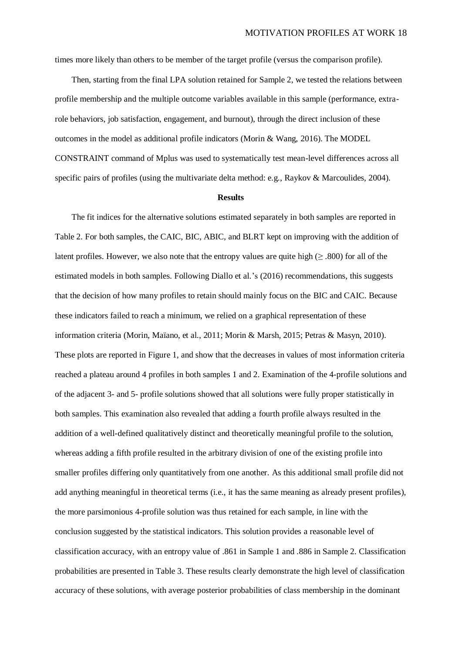times more likely than others to be member of the target profile (versus the comparison profile).

Then, starting from the final LPA solution retained for Sample 2, we tested the relations between profile membership and the multiple outcome variables available in this sample (performance, extrarole behaviors, job satisfaction, engagement, and burnout), through the direct inclusion of these outcomes in the model as additional profile indicators (Morin & Wang, 2016). The MODEL CONSTRAINT command of Mplus was used to systematically test mean-level differences across all specific pairs of profiles (using the multivariate delta method: e.g., Raykov & Marcoulides, 2004).

#### **Results**

The fit indices for the alternative solutions estimated separately in both samples are reported in Table 2. For both samples, the CAIC, BIC, ABIC, and BLRT kept on improving with the addition of latent profiles. However, we also note that the entropy values are quite high ( $\geq$  .800) for all of the estimated models in both samples. Following Diallo et al.'s (2016) recommendations, this suggests that the decision of how many profiles to retain should mainly focus on the BIC and CAIC. Because these indicators failed to reach a minimum, we relied on a graphical representation of these information criteria (Morin, Maïano, et al., 2011; Morin & Marsh, 2015; Petras & Masyn, 2010). These plots are reported in Figure 1, and show that the decreases in values of most information criteria reached a plateau around 4 profiles in both samples 1 and 2. Examination of the 4-profile solutions and of the adjacent 3- and 5- profile solutions showed that all solutions were fully proper statistically in both samples. This examination also revealed that adding a fourth profile always resulted in the addition of a well-defined qualitatively distinct and theoretically meaningful profile to the solution, whereas adding a fifth profile resulted in the arbitrary division of one of the existing profile into smaller profiles differing only quantitatively from one another. As this additional small profile did not add anything meaningful in theoretical terms (i.e., it has the same meaning as already present profiles), the more parsimonious 4-profile solution was thus retained for each sample, in line with the conclusion suggested by the statistical indicators. This solution provides a reasonable level of classification accuracy, with an entropy value of .861 in Sample 1 and .886 in Sample 2. Classification probabilities are presented in Table 3. These results clearly demonstrate the high level of classification accuracy of these solutions, with average posterior probabilities of class membership in the dominant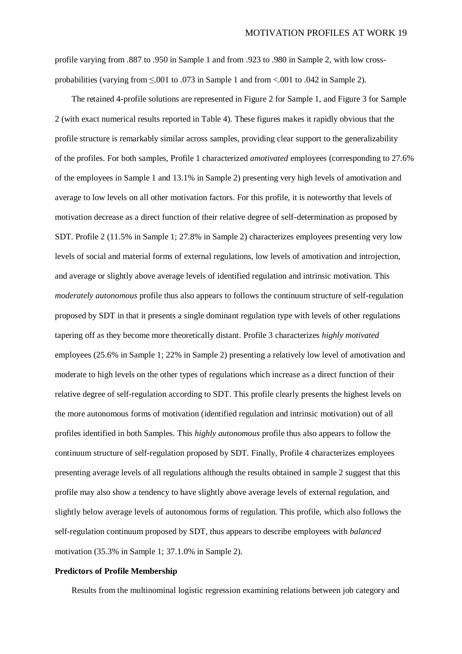profile varying from .887 to .950 in Sample 1 and from .923 to .980 in Sample 2, with low crossprobabilities (varying from ≤.001 to .073 in Sample 1 and from <.001 to .042 in Sample 2).

The retained 4-profile solutions are represented in Figure 2 for Sample 1, and Figure 3 for Sample 2 (with exact numerical results reported in Table 4). These figures makes it rapidly obvious that the profile structure is remarkably similar across samples, providing clear support to the generalizability of the profiles. For both samples, Profile 1 characterized *amotivated* employees (corresponding to 27.6% of the employees in Sample 1 and 13.1% in Sample 2) presenting very high levels of amotivation and average to low levels on all other motivation factors. For this profile, it is noteworthy that levels of motivation decrease as a direct function of their relative degree of self-determination as proposed by SDT. Profile 2 (11.5% in Sample 1; 27.8% in Sample 2) characterizes employees presenting very low levels of social and material forms of external regulations, low levels of amotivation and introjection, and average or slightly above average levels of identified regulation and intrinsic motivation. This *moderately autonomous* profile thus also appears to follows the continuum structure of self-regulation proposed by SDT in that it presents a single dominant regulation type with levels of other regulations tapering off as they become more theoretically distant. Profile 3 characterizes *highly motivated* employees (25.6% in Sample 1; 22% in Sample 2) presenting a relatively low level of amotivation and moderate to high levels on the other types of regulations which increase as a direct function of their relative degree of self-regulation according to SDT. This profile clearly presents the highest levels on the more autonomous forms of motivation (identified regulation and intrinsic motivation) out of all profiles identified in both Samples. This *highly autonomous* profile thus also appears to follow the continuum structure of self-regulation proposed by SDT. Finally, Profile 4 characterizes employees presenting average levels of all regulations although the results obtained in sample 2 suggest that this profile may also show a tendency to have slightly above average levels of external regulation, and slightly below average levels of autonomous forms of regulation. This profile, which also follows the self-regulation continuum proposed by SDT, thus appears to describe employees with *balanced* motivation (35.3% in Sample 1; 37.1.0% in Sample 2).

#### **Predictors of Profile Membership**

Results from the multinominal logistic regression examining relations between job category and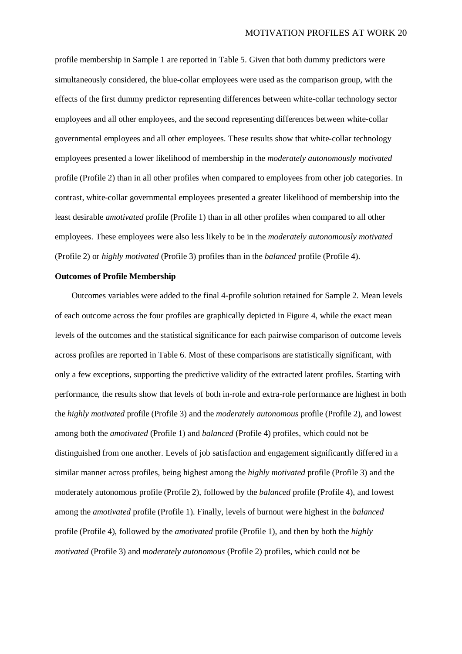profile membership in Sample 1 are reported in Table 5. Given that both dummy predictors were simultaneously considered, the blue-collar employees were used as the comparison group, with the effects of the first dummy predictor representing differences between white-collar technology sector employees and all other employees, and the second representing differences between white-collar governmental employees and all other employees. These results show that white-collar technology employees presented a lower likelihood of membership in the *moderately autonomously motivated* profile (Profile 2) than in all other profiles when compared to employees from other job categories. In contrast, white-collar governmental employees presented a greater likelihood of membership into the least desirable *amotivated* profile (Profile 1) than in all other profiles when compared to all other employees. These employees were also less likely to be in the *moderately autonomously motivated* (Profile 2) or *highly motivated* (Profile 3) profiles than in the *balanced* profile (Profile 4).

#### **Outcomes of Profile Membership**

Outcomes variables were added to the final 4-profile solution retained for Sample 2. Mean levels of each outcome across the four profiles are graphically depicted in Figure 4, while the exact mean levels of the outcomes and the statistical significance for each pairwise comparison of outcome levels across profiles are reported in Table 6. Most of these comparisons are statistically significant, with only a few exceptions, supporting the predictive validity of the extracted latent profiles. Starting with performance, the results show that levels of both in-role and extra-role performance are highest in both the *highly motivated* profile (Profile 3) and the *moderately autonomous* profile (Profile 2), and lowest among both the *amotivated* (Profile 1) and *balanced* (Profile 4) profiles, which could not be distinguished from one another. Levels of job satisfaction and engagement significantly differed in a similar manner across profiles, being highest among the *highly motivated* profile (Profile 3) and the moderately autonomous profile (Profile 2), followed by the *balanced* profile (Profile 4), and lowest among the *amotivated* profile (Profile 1). Finally, levels of burnout were highest in the *balanced* profile (Profile 4), followed by the *amotivated* profile (Profile 1), and then by both the *highly motivated* (Profile 3) and *moderately autonomous* (Profile 2) profiles, which could not be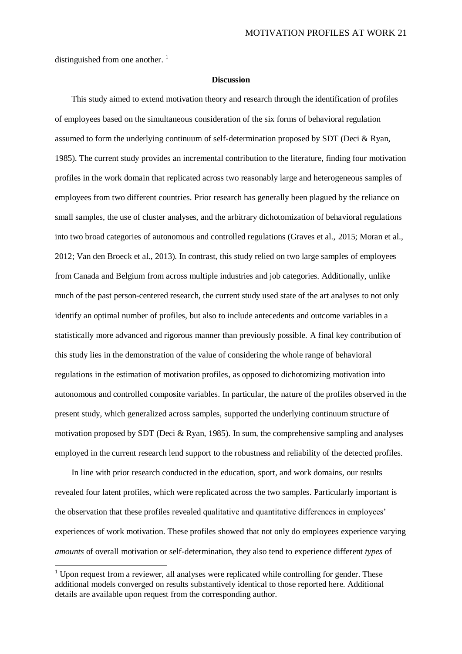distinguished from one another.<sup>1</sup>

1

#### **Discussion**

This study aimed to extend motivation theory and research through the identification of profiles of employees based on the simultaneous consideration of the six forms of behavioral regulation assumed to form the underlying continuum of self-determination proposed by SDT (Deci & Ryan, 1985). The current study provides an incremental contribution to the literature, finding four motivation profiles in the work domain that replicated across two reasonably large and heterogeneous samples of employees from two different countries. Prior research has generally been plagued by the reliance on small samples, the use of cluster analyses, and the arbitrary dichotomization of behavioral regulations into two broad categories of autonomous and controlled regulations (Graves et al., 2015; Moran et al., 2012; Van den Broeck et al., 2013). In contrast, this study relied on two large samples of employees from Canada and Belgium from across multiple industries and job categories. Additionally, unlike much of the past person-centered research, the current study used state of the art analyses to not only identify an optimal number of profiles, but also to include antecedents and outcome variables in a statistically more advanced and rigorous manner than previously possible. A final key contribution of this study lies in the demonstration of the value of considering the whole range of behavioral regulations in the estimation of motivation profiles, as opposed to dichotomizing motivation into autonomous and controlled composite variables. In particular, the nature of the profiles observed in the present study, which generalized across samples, supported the underlying continuum structure of motivation proposed by SDT (Deci & Ryan, 1985). In sum, the comprehensive sampling and analyses employed in the current research lend support to the robustness and reliability of the detected profiles.

In line with prior research conducted in the education, sport, and work domains, our results revealed four latent profiles, which were replicated across the two samples. Particularly important is the observation that these profiles revealed qualitative and quantitative differences in employees' experiences of work motivation. These profiles showed that not only do employees experience varying *amounts* of overall motivation or self-determination, they also tend to experience different *types* of

 $1$  Upon request from a reviewer, all analyses were replicated while controlling for gender. These additional models converged on results substantively identical to those reported here. Additional details are available upon request from the corresponding author.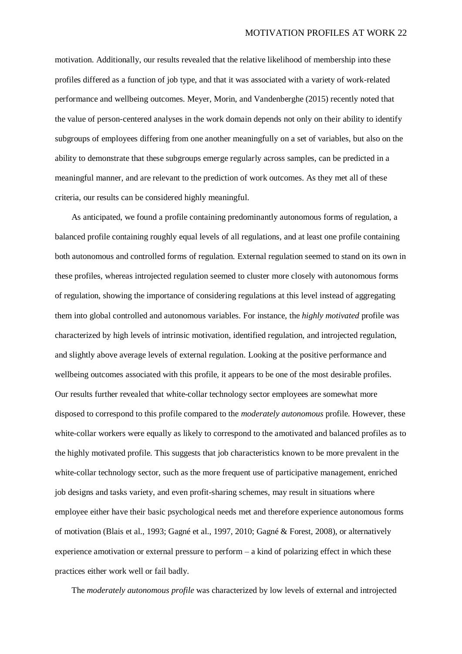motivation. Additionally, our results revealed that the relative likelihood of membership into these profiles differed as a function of job type, and that it was associated with a variety of work-related performance and wellbeing outcomes. Meyer, Morin, and Vandenberghe (2015) recently noted that the value of person-centered analyses in the work domain depends not only on their ability to identify subgroups of employees differing from one another meaningfully on a set of variables, but also on the ability to demonstrate that these subgroups emerge regularly across samples, can be predicted in a meaningful manner, and are relevant to the prediction of work outcomes. As they met all of these criteria, our results can be considered highly meaningful.

As anticipated, we found a profile containing predominantly autonomous forms of regulation, a balanced profile containing roughly equal levels of all regulations, and at least one profile containing both autonomous and controlled forms of regulation. External regulation seemed to stand on its own in these profiles, whereas introjected regulation seemed to cluster more closely with autonomous forms of regulation, showing the importance of considering regulations at this level instead of aggregating them into global controlled and autonomous variables. For instance, the *highly motivated* profile was characterized by high levels of intrinsic motivation, identified regulation, and introjected regulation, and slightly above average levels of external regulation. Looking at the positive performance and wellbeing outcomes associated with this profile, it appears to be one of the most desirable profiles. Our results further revealed that white-collar technology sector employees are somewhat more disposed to correspond to this profile compared to the *moderately autonomous* profile. However, these white-collar workers were equally as likely to correspond to the amotivated and balanced profiles as to the highly motivated profile. This suggests that job characteristics known to be more prevalent in the white-collar technology sector, such as the more frequent use of participative management, enriched job designs and tasks variety, and even profit-sharing schemes, may result in situations where employee either have their basic psychological needs met and therefore experience autonomous forms of motivation (Blais et al., 1993; Gagné et al., 1997, 2010; Gagné & Forest, 2008), or alternatively experience amotivation or external pressure to perform – a kind of polarizing effect in which these practices either work well or fail badly.

The *moderately autonomous profile* was characterized by low levels of external and introjected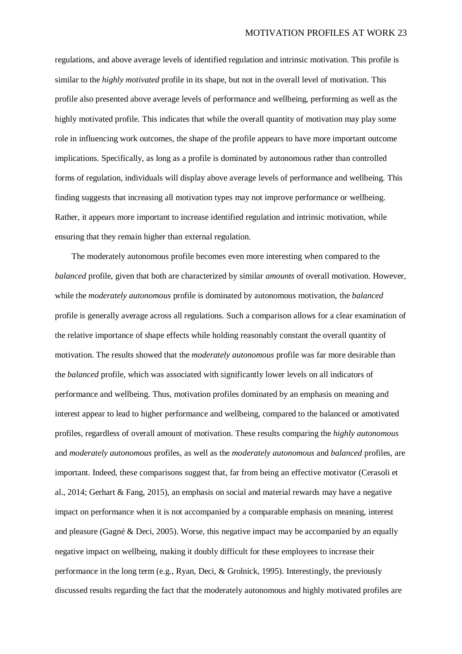regulations, and above average levels of identified regulation and intrinsic motivation. This profile is similar to the *highly motivated* profile in its shape, but not in the overall level of motivation. This profile also presented above average levels of performance and wellbeing, performing as well as the highly motivated profile. This indicates that while the overall quantity of motivation may play some role in influencing work outcomes, the shape of the profile appears to have more important outcome implications. Specifically, as long as a profile is dominated by autonomous rather than controlled forms of regulation, individuals will display above average levels of performance and wellbeing. This finding suggests that increasing all motivation types may not improve performance or wellbeing. Rather, it appears more important to increase identified regulation and intrinsic motivation, while ensuring that they remain higher than external regulation.

The moderately autonomous profile becomes even more interesting when compared to the *balanced* profile, given that both are characterized by similar *amounts* of overall motivation. However, while the *moderately autonomous* profile is dominated by autonomous motivation, the *balanced* profile is generally average across all regulations. Such a comparison allows for a clear examination of the relative importance of shape effects while holding reasonably constant the overall quantity of motivation. The results showed that the *moderately autonomous* profile was far more desirable than the *balanced* profile, which was associated with significantly lower levels on all indicators of performance and wellbeing. Thus, motivation profiles dominated by an emphasis on meaning and interest appear to lead to higher performance and wellbeing, compared to the balanced or amotivated profiles, regardless of overall amount of motivation. These results comparing the *highly autonomous* and *moderately autonomous* profiles, as well as the *moderately autonomous* and *balanced* profiles, are important. Indeed, these comparisons suggest that, far from being an effective motivator (Cerasoli et al., 2014; Gerhart & Fang, 2015), an emphasis on social and material rewards may have a negative impact on performance when it is not accompanied by a comparable emphasis on meaning, interest and pleasure (Gagné & Deci, 2005). Worse, this negative impact may be accompanied by an equally negative impact on wellbeing, making it doubly difficult for these employees to increase their performance in the long term (e.g., Ryan, Deci, & Grolnick, 1995). Interestingly, the previously discussed results regarding the fact that the moderately autonomous and highly motivated profiles are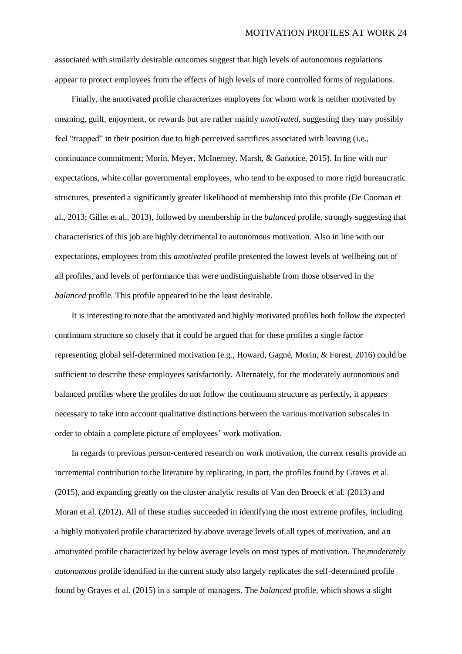associated with similarly desirable outcomes suggest that high levels of autonomous regulations appear to protect employees from the effects of high levels of more controlled forms of regulations.

Finally, the amotivated profile characterizes employees for whom work is neither motivated by meaning, guilt, enjoyment, or rewards but are rather mainly *amotivated*, suggesting they may possibly feel "trapped" in their position due to high perceived sacrifices associated with leaving (i.e., continuance commitment; Morin, Meyer, McInerney, Marsh, & Ganotice, 2015). In line with our expectations, white collar governmental employees, who tend to be exposed to more rigid bureaucratic structures, presented a significantly greater likelihood of membership into this profile (De Cooman et al., 2013; Gillet et al., 2013), followed by membership in the *balanced* profile, strongly suggesting that characteristics of this job are highly detrimental to autonomous motivation. Also in line with our expectations, employees from this *amotivated* profile presented the lowest levels of wellbeing out of all profiles, and levels of performance that were undistinguishable from those observed in the *balanced* profile. This profile appeared to be the least desirable.

It is interesting to note that the amotivated and highly motivated profiles both follow the expected continuum structure so closely that it could be argued that for these profiles a single factor representing global self-determined motivation (e.g., Howard, Gagné, Morin, & Forest, 2016) could be sufficient to describe these employees satisfactorily. Alternately, for the moderately autonomous and balanced profiles where the profiles do not follow the continuum structure as perfectly, it appears necessary to take into account qualitative distinctions between the various motivation subscales in order to obtain a complete picture of employees' work motivation.

In regards to previous person-centered research on work motivation, the current results provide an incremental contribution to the literature by replicating, in part, the profiles found by Graves et al. (2015), and expanding greatly on the cluster analytic results of Van den Broeck et al. (2013) and Moran et al. (2012). All of these studies succeeded in identifying the most extreme profiles, including a highly motivated profile characterized by above average levels of all types of motivation, and an amotivated profile characterized by below average levels on most types of motivation. The *moderately autonomous* profile identified in the current study also largely replicates the self-determined profile found by Graves et al. (2015) in a sample of managers. The *balanced* profile, which shows a slight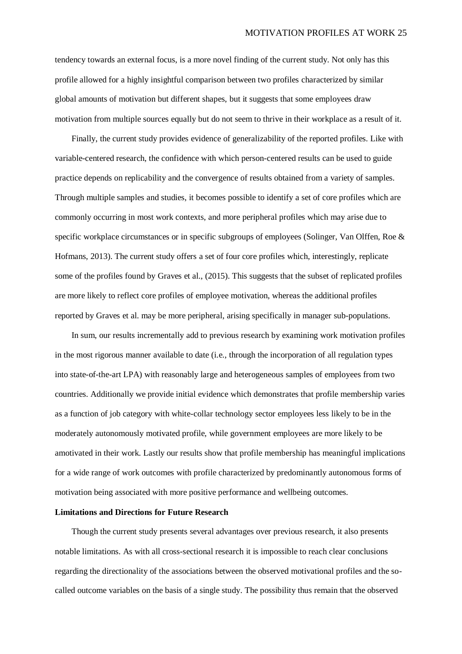tendency towards an external focus, is a more novel finding of the current study. Not only has this profile allowed for a highly insightful comparison between two profiles characterized by similar global amounts of motivation but different shapes, but it suggests that some employees draw motivation from multiple sources equally but do not seem to thrive in their workplace as a result of it.

Finally, the current study provides evidence of generalizability of the reported profiles. Like with variable-centered research, the confidence with which person-centered results can be used to guide practice depends on replicability and the convergence of results obtained from a variety of samples. Through multiple samples and studies, it becomes possible to identify a set of core profiles which are commonly occurring in most work contexts, and more peripheral profiles which may arise due to specific workplace circumstances or in specific subgroups of employees (Solinger, Van Olffen, Roe & Hofmans, 2013). The current study offers a set of four core profiles which, interestingly, replicate some of the profiles found by Graves et al., (2015). This suggests that the subset of replicated profiles are more likely to reflect core profiles of employee motivation, whereas the additional profiles reported by Graves et al. may be more peripheral, arising specifically in manager sub-populations.

In sum, our results incrementally add to previous research by examining work motivation profiles in the most rigorous manner available to date (i.e., through the incorporation of all regulation types into state-of-the-art LPA) with reasonably large and heterogeneous samples of employees from two countries. Additionally we provide initial evidence which demonstrates that profile membership varies as a function of job category with white-collar technology sector employees less likely to be in the moderately autonomously motivated profile, while government employees are more likely to be amotivated in their work. Lastly our results show that profile membership has meaningful implications for a wide range of work outcomes with profile characterized by predominantly autonomous forms of motivation being associated with more positive performance and wellbeing outcomes.

#### **Limitations and Directions for Future Research**

Though the current study presents several advantages over previous research, it also presents notable limitations. As with all cross-sectional research it is impossible to reach clear conclusions regarding the directionality of the associations between the observed motivational profiles and the socalled outcome variables on the basis of a single study. The possibility thus remain that the observed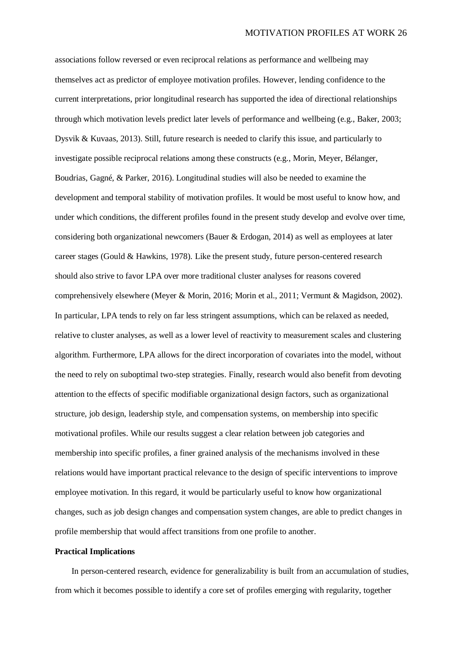associations follow reversed or even reciprocal relations as performance and wellbeing may themselves act as predictor of employee motivation profiles. However, lending confidence to the current interpretations, prior longitudinal research has supported the idea of directional relationships through which motivation levels predict later levels of performance and wellbeing (e.g., Baker, 2003; Dysvik & Kuvaas, 2013). Still, future research is needed to clarify this issue, and particularly to investigate possible reciprocal relations among these constructs (e.g., Morin, Meyer, Bélanger, Boudrias, Gagné, & Parker, 2016). Longitudinal studies will also be needed to examine the development and temporal stability of motivation profiles. It would be most useful to know how, and under which conditions, the different profiles found in the present study develop and evolve over time, considering both organizational newcomers (Bauer & Erdogan, 2014) as well as employees at later career stages (Gould & Hawkins, 1978). Like the present study, future person-centered research should also strive to favor LPA over more traditional cluster analyses for reasons covered comprehensively elsewhere (Meyer & Morin, 2016; Morin et al., 2011; Vermunt & Magidson, 2002). In particular, LPA tends to rely on far less stringent assumptions, which can be relaxed as needed, relative to cluster analyses, as well as a lower level of reactivity to measurement scales and clustering algorithm. Furthermore, LPA allows for the direct incorporation of covariates into the model, without the need to rely on suboptimal two-step strategies. Finally, research would also benefit from devoting attention to the effects of specific modifiable organizational design factors, such as organizational structure, job design, leadership style, and compensation systems, on membership into specific motivational profiles. While our results suggest a clear relation between job categories and membership into specific profiles, a finer grained analysis of the mechanisms involved in these relations would have important practical relevance to the design of specific interventions to improve employee motivation. In this regard, it would be particularly useful to know how organizational changes, such as job design changes and compensation system changes, are able to predict changes in profile membership that would affect transitions from one profile to another.

#### **Practical Implications**

In person-centered research, evidence for generalizability is built from an accumulation of studies, from which it becomes possible to identify a core set of profiles emerging with regularity, together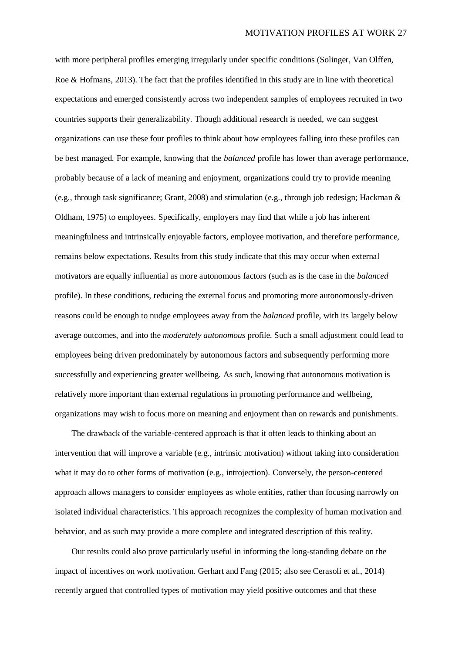with more peripheral profiles emerging irregularly under specific conditions (Solinger, Van Olffen, Roe & Hofmans, 2013). The fact that the profiles identified in this study are in line with theoretical expectations and emerged consistently across two independent samples of employees recruited in two countries supports their generalizability. Though additional research is needed, we can suggest organizations can use these four profiles to think about how employees falling into these profiles can be best managed. For example, knowing that the *balanced* profile has lower than average performance, probably because of a lack of meaning and enjoyment, organizations could try to provide meaning (e.g., through task significance; Grant, 2008) and stimulation (e.g., through job redesign; Hackman & Oldham, 1975) to employees. Specifically, employers may find that while a job has inherent meaningfulness and intrinsically enjoyable factors, employee motivation, and therefore performance, remains below expectations. Results from this study indicate that this may occur when external motivators are equally influential as more autonomous factors (such as is the case in the *balanced* profile). In these conditions, reducing the external focus and promoting more autonomously-driven reasons could be enough to nudge employees away from the *balanced* profile, with its largely below average outcomes, and into the *moderately autonomous* profile. Such a small adjustment could lead to employees being driven predominately by autonomous factors and subsequently performing more successfully and experiencing greater wellbeing. As such, knowing that autonomous motivation is relatively more important than external regulations in promoting performance and wellbeing, organizations may wish to focus more on meaning and enjoyment than on rewards and punishments.

The drawback of the variable-centered approach is that it often leads to thinking about an intervention that will improve a variable (e.g., intrinsic motivation) without taking into consideration what it may do to other forms of motivation (e.g., introjection). Conversely, the person-centered approach allows managers to consider employees as whole entities, rather than focusing narrowly on isolated individual characteristics. This approach recognizes the complexity of human motivation and behavior, and as such may provide a more complete and integrated description of this reality.

Our results could also prove particularly useful in informing the long-standing debate on the impact of incentives on work motivation. Gerhart and Fang (2015; also see Cerasoli et al., 2014) recently argued that controlled types of motivation may yield positive outcomes and that these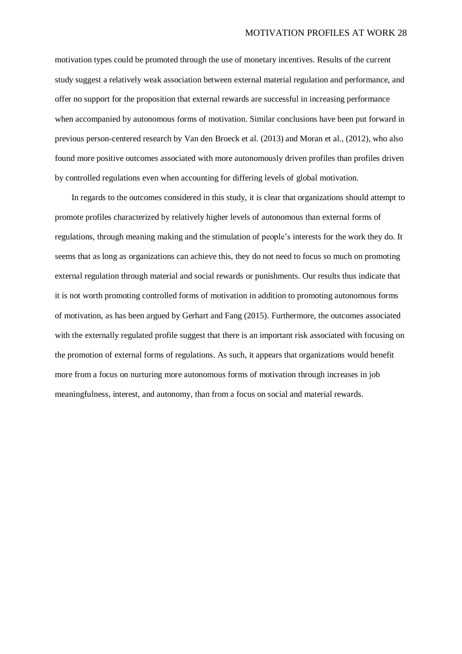motivation types could be promoted through the use of monetary incentives. Results of the current study suggest a relatively weak association between external material regulation and performance, and offer no support for the proposition that external rewards are successful in increasing performance when accompanied by autonomous forms of motivation. Similar conclusions have been put forward in previous person-centered research by Van den Broeck et al. (2013) and Moran et al., (2012), who also found more positive outcomes associated with more autonomously driven profiles than profiles driven by controlled regulations even when accounting for differing levels of global motivation.

In regards to the outcomes considered in this study, it is clear that organizations should attempt to promote profiles characterized by relatively higher levels of autonomous than external forms of regulations, through meaning making and the stimulation of people's interests for the work they do. It seems that as long as organizations can achieve this, they do not need to focus so much on promoting external regulation through material and social rewards or punishments. Our results thus indicate that it is not worth promoting controlled forms of motivation in addition to promoting autonomous forms of motivation, as has been argued by Gerhart and Fang (2015). Furthermore, the outcomes associated with the externally regulated profile suggest that there is an important risk associated with focusing on the promotion of external forms of regulations. As such, it appears that organizations would benefit more from a focus on nurturing more autonomous forms of motivation through increases in job meaningfulness, interest, and autonomy, than from a focus on social and material rewards.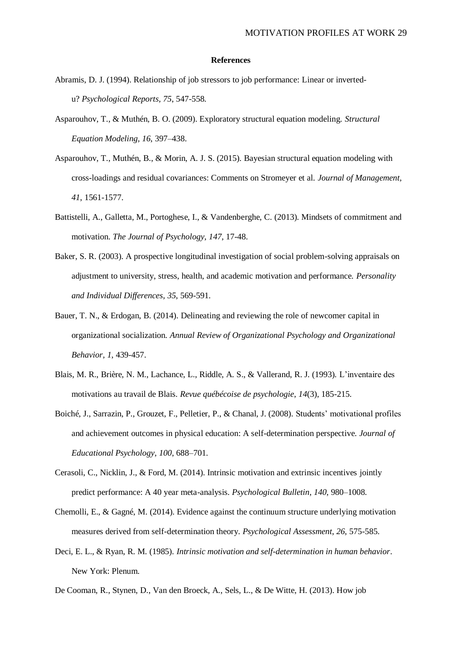#### **References**

- Abramis, D. J. (1994). Relationship of job stressors to job performance: Linear or invertedu? *Psychological Reports, 75*, 547-558.
- Asparouhov, T., & Muthén, B. O. (2009). Exploratory structural equation modeling. *Structural Equation Modeling, 16*, 397–438.
- Asparouhov, T., Muthén, B., & Morin, A. J. S. (2015). Bayesian structural equation modeling with cross-loadings and residual covariances: Comments on Stromeyer et al. *Journal of Management, 41*, 1561-1577.
- Battistelli, A., Galletta, M., Portoghese, I., & Vandenberghe, C. (2013). Mindsets of commitment and motivation. *The Journal of Psychology, 147*, 17-48.
- Baker, S. R. (2003). A prospective longitudinal investigation of social problem-solving appraisals on adjustment to university, stress, health, and academic motivation and performance. *Personality and Individual Differences*, *35*, 569-591.
- Bauer, T. N., & Erdogan, B. (2014). Delineating and reviewing the role of newcomer capital in organizational socialization*. Annual Review of Organizational Psychology and Organizational Behavior, 1*, 439-457.
- Blais, M. R., Brière, N. M., Lachance, L., Riddle, A. S., & Vallerand, R. J. (1993). L'inventaire des motivations au travail de Blais. *Revue québécoise de psychologie*, *14*(3), 185-215.
- Boiché, J., Sarrazin, P., Grouzet, F., Pelletier, P., & Chanal, J. (2008). Students' motivational profiles and achievement outcomes in physical education: A self-determination perspective. *Journal of Educational Psychology*, *100*, 688–701.
- Cerasoli, C., Nicklin, J., & Ford, M. (2014). Intrinsic motivation and extrinsic incentives jointly predict performance: A 40 year meta-analysis. *Psychological Bulletin*, *140*, 980–1008.
- Chemolli, E., & Gagné, M. (2014). Evidence against the continuum structure underlying motivation measures derived from self-determination theory. *Psychological Assessment*, *26*, 575-585.
- Deci, E. L., & Ryan, R. M. (1985). *Intrinsic motivation and self-determination in human behavior*. New York: Plenum.

De Cooman, R., Stynen, D., Van den Broeck, A., Sels, L., & De Witte, H. (2013). How job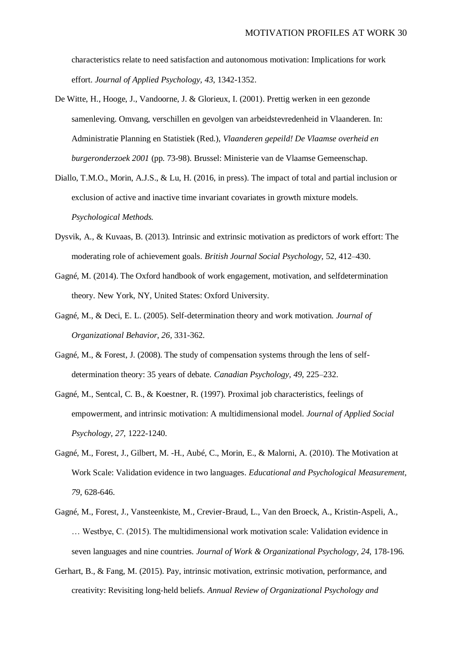characteristics relate to need satisfaction and autonomous motivation: Implications for work effort. *Journal of Applied Psychology, 43*, 1342-1352.

- De Witte, H., Hooge, J., Vandoorne, J. & Glorieux, I. (2001). Prettig werken in een gezonde samenleving. Omvang, verschillen en gevolgen van arbeidstevredenheid in Vlaanderen. In: Administratie Planning en Statistiek (Red.), *Vlaanderen gepeild! De Vlaamse overheid en burgeronderzoek 2001* (pp. 73-98). Brussel: Ministerie van de Vlaamse Gemeenschap.
- Diallo, T.M.O., Morin, A.J.S., & Lu, H. (2016, in press). The impact of total and partial inclusion or exclusion of active and inactive time invariant covariates in growth mixture models. *Psychological Methods.*
- Dysvik, A., & Kuvaas, B. (2013). Intrinsic and extrinsic motivation as predictors of work effort: The moderating role of achievement goals. *British Journal Social Psychology,* 52, 412–430.
- Gagné, M. (2014). The Oxford handbook of work engagement, motivation, and selfdetermination theory. New York, NY, United States: Oxford University.
- Gagné, M., & Deci, E. L. (2005). Self-determination theory and work motivation. *Journal of Organizational Behavior, 26,* 331-362.
- Gagné, M., & Forest, J. (2008). The study of compensation systems through the lens of selfdetermination theory: 35 years of debate. *Canadian Psychology, 49*, 225–232.
- Gagné, M., Sentcal, C. B., & Koestner, R. (1997). Proximal job characteristics, feelings of empowerment, and intrinsic motivation: A multidimensional model*. Journal of Applied Social Psychology, 27,* 1222-1240.
- Gagné, M., Forest, J., Gilbert, M. -H., Aubé, C., Morin, E., & Malorni, A. (2010). The Motivation at Work Scale: Validation evidence in two languages. *Educational and Psychological Measurement, 79,* 628-646.
- Gagné, M., Forest, J., Vansteenkiste, M., Crevier-Braud, L., Van den Broeck, A., Kristin-Aspeli, A., … Westbye, C. (2015). The multidimensional work motivation scale: Validation evidence in seven languages and nine countries*. Journal of Work & Organizational Psychology, 24,* 178-196.
- Gerhart, B., & Fang, M. (2015). Pay, intrinsic motivation, extrinsic motivation, performance, and creativity: Revisiting long-held beliefs. *Annual Review of Organizational Psychology and*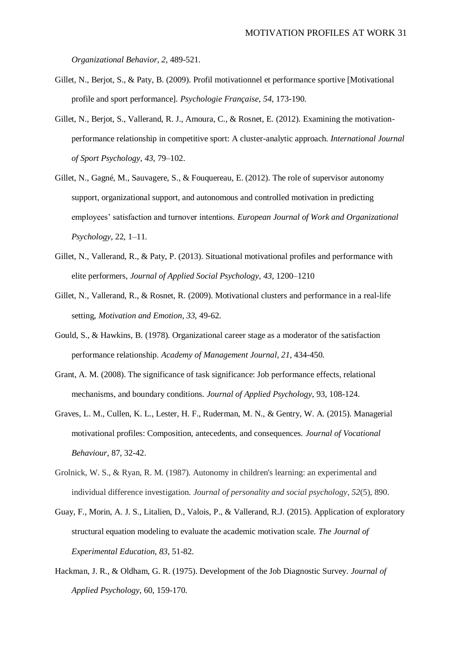*Organizational Behavior*, *2*, 489-521.

- Gillet, N., Berjot, S., & Paty, B. (2009). Profil motivationnel et performance sportive [Motivational profile and sport performance]. *Psychologie Française*, *54*, 173-190.
- Gillet, N., Berjot, S., Vallerand, R. J., Amoura, C., & Rosnet, E. (2012). Examining the motivationperformance relationship in competitive sport: A cluster-analytic approach. *International Journal of Sport Psychology*, *43*, 79–102.
- Gillet, N., Gagné, M., Sauvagere, S., & Fouquereau, E. (2012). The role of supervisor autonomy support, organizational support, and autonomous and controlled motivation in predicting employees' satisfaction and turnover intentions*. European Journal of Work and Organizational Psychology*, 22, 1–11.
- Gillet, N., Vallerand, R., & Paty, P. (2013). Situational motivational profiles and performance with elite performers, *Journal of Applied Social Psychology*, *43*, 1200–1210
- Gillet, N., Vallerand, R., & Rosnet, R. (2009). Motivational clusters and performance in a real-life setting, *Motivation and Emotion*, *33*, 49-62.
- Gould, S., & Hawkins, B. (1978). Organizational career stage as a moderator of the satisfaction performance relationship. *Academy of Management Journal*, *21*, 434-450.
- Grant, A. M. (2008). The significance of task significance: Job performance effects, relational mechanisms, and boundary conditions. *Journal of Applied Psychology*, 93, 108-124.
- Graves, L. M., Cullen, K. L., Lester, H. F., Ruderman, M. N., & Gentry, W. A. (2015). Managerial motivational profiles: Composition, antecedents, and consequences. *Journal of Vocational Behaviour*, 87, 32-42.
- Grolnick, W. S., & Ryan, R. M. (1987). Autonomy in children's learning: an experimental and individual difference investigation. *Journal of personality and social psychology*, *52*(5), 890.
- Guay, F., Morin, A. J. S., Litalien, D., Valois, P., & Vallerand, R.J. (2015). Application of exploratory structural equation modeling to evaluate the academic motivation scale. *The Journal of Experimental Education*, *83*, 51-82.
- Hackman, J. R., & Oldham, G. R. (1975). Development of the Job Diagnostic Survey. *Journal of Applied Psychology*, 60, 159-170.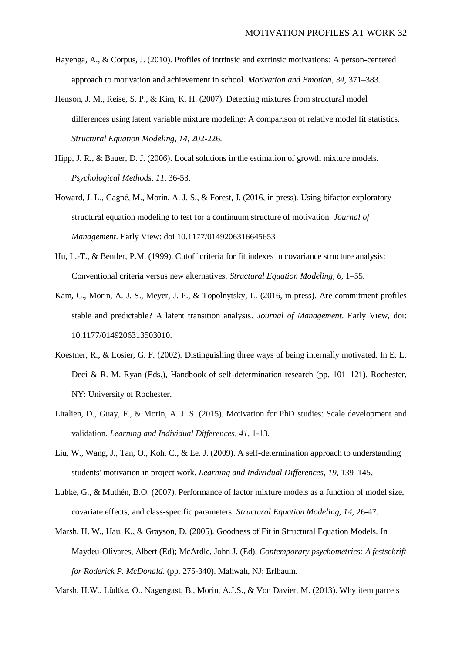- Hayenga, A., & Corpus, J. (2010). Profiles of intrinsic and extrinsic motivations: A person-centered approach to motivation and achievement in school. *Motivation and Emotion*, *34*, 371–383.
- Henson, J. M., Reise, S. P., & Kim, K. H. (2007). Detecting mixtures from structural model differences using latent variable mixture modeling: A comparison of relative model fit statistics. *Structural Equation Modeling*, *14*, 202-226.
- Hipp, J. R., & Bauer, D. J. (2006). Local solutions in the estimation of growth mixture models. *Psychological Methods, 11*, 36-53.
- Howard, J. L., Gagné, M., Morin, A. J. S., & Forest, J. (2016, in press). Using bifactor exploratory structural equation modeling to test for a continuum structure of motivation. *Journal of Management*. Early View: doi 10.1177/0149206316645653
- Hu, L.-T., & Bentler, P.M. (1999). Cutoff criteria for fit indexes in covariance structure analysis: Conventional criteria versus new alternatives. *Structural Equation Modeling, 6,* 1–55.
- Kam, C., Morin, A. J. S., Meyer, J. P., & Topolnytsky, L. (2016, in press). Are commitment profiles stable and predictable? A latent transition analysis. *Journal of Management*. Early View, doi: 10.1177/0149206313503010.
- Koestner, R., & Losier, G. F. (2002). Distinguishing three ways of being internally motivated. In E. L. Deci & R. M. Ryan (Eds.), Handbook of self-determination research (pp. 101–121). Rochester, NY: University of Rochester.
- Litalien, D., Guay, F., & Morin, A. J. S. (2015). Motivation for PhD studies: Scale development and validation. *Learning and Individual Differences, 41*, 1-13.
- Liu, W., Wang, J., Tan, O., Koh, C., & Ee, J. (2009). A self-determination approach to understanding students' motivation in project work. *Learning and Individual Differences*, *19*, 139–145.
- Lubke, G., & Muthén, B.O. (2007). Performance of factor mixture models as a function of model size, covariate effects, and class-specific parameters. *Structural Equation Modeling, 14*, 26-47.
- Marsh, H. W., Hau, K., & Grayson, D. (2005). Goodness of Fit in Structural Equation Models. In Maydeu-Olivares, Albert (Ed); McArdle, John J. (Ed), *Contemporary psychometrics: A festschrift for Roderick P. McDonald.* (pp. 275-340). Mahwah, NJ: Erlbaum.

Marsh, H.W., Lüdtke, O., Nagengast, B., Morin, A.J.S., & Von Davier, M. (2013). Why item parcels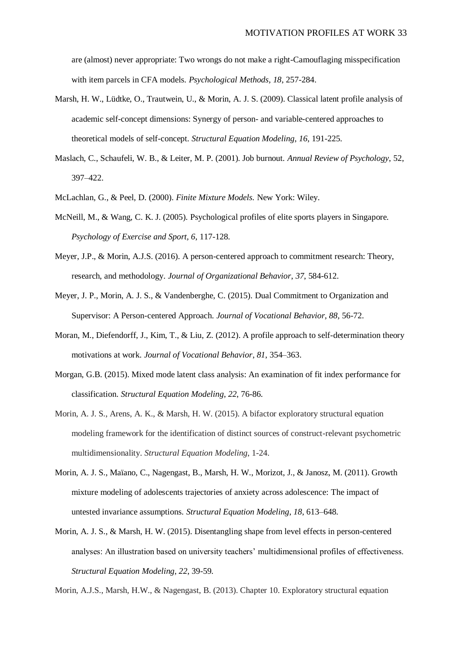are (almost) never appropriate: Two wrongs do not make a right-Camouflaging misspecification with item parcels in CFA models. *Psychological Methods, 18*, 257-284.

- Marsh, H. W., Lüdtke, O., Trautwein, U., & Morin, A. J. S. (2009). Classical latent profile analysis of academic self-concept dimensions: Synergy of person- and variable-centered approaches to theoretical models of self-concept. *Structural Equation Modeling*, *16*, 191-225.
- Maslach, C., Schaufeli, W. B., & Leiter, M. P. (2001). Job burnout. *Annual Review of Psychology*, 52, 397–422.
- McLachlan, G., & Peel, D. (2000). *Finite Mixture Models.* New York: Wiley.
- McNeill, M., & Wang, C. K. J. (2005). Psychological profiles of elite sports players in Singapore. *Psychology of Exercise and Sport, 6*, 117-128.
- Meyer, J.P., & Morin, A.J.S. (2016). A person-centered approach to commitment research: Theory, research, and methodology. *Journal of Organizational Behavior*, *37*, 584-612.
- Meyer, J. P., Morin, A. J. S., & Vandenberghe, C. (2015). Dual Commitment to Organization and Supervisor: A Person-centered Approach. *Journal of Vocational Behavior, 88,* 56-72.
- Moran, M., Diefendorff, J., Kim, T., & Liu, Z. (2012). A profile approach to self-determination theory motivations at work. *Journal of Vocational Behavior*, *81*, 354–363.
- Morgan, G.B. (2015). Mixed mode latent class analysis: An examination of fit index performance for classification. *Structural Equation Modeling*, *22*, 76-86.
- Morin, A. J. S., Arens, A. K., & Marsh, H. W. (2015). A bifactor exploratory structural equation modeling framework for the identification of distinct sources of construct-relevant psychometric multidimensionality. *Structural Equation Modeling*, 1-24.
- Morin, A. J. S., Maïano, C., Nagengast, B., Marsh, H. W., Morizot, J., & Janosz, M. (2011). Growth mixture modeling of adolescents trajectories of anxiety across adolescence: The impact of untested invariance assumptions. *Structural Equation Modeling*, *18*, 613–648.
- Morin, A. J. S., & Marsh, H. W. (2015). Disentangling shape from level effects in person-centered analyses: An illustration based on university teachers' multidimensional profiles of effectiveness. *Structural Equation Modeling*, *22*, 39-59.

Morin, A.J.S., Marsh, H.W., & Nagengast, B. (2013). Chapter 10. Exploratory structural equation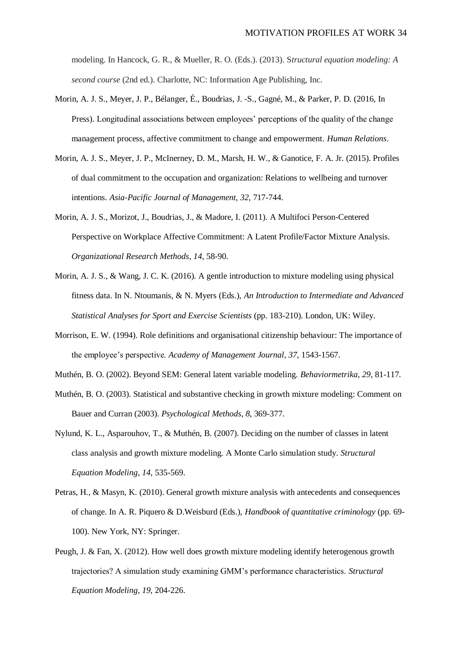modeling. In Hancock, G. R., & Mueller, R. O. (Eds.). (2013). S*tructural equation modeling: A second course* (2nd ed.). Charlotte, NC: Information Age Publishing, Inc.

- Morin, A. J. S., Meyer, J. P., Bélanger, É., Boudrias, J. -S., Gagné, M., & Parker, P. D. (2016, In Press). Longitudinal associations between employees' perceptions of the quality of the change management process, affective commitment to change and empowerment. *Human Relations*.
- Morin, A. J. S., Meyer, J. P., McInerney, D. M., Marsh, H. W., & Ganotice, F. A. Jr. (2015). Profiles of dual commitment to the occupation and organization: Relations to wellbeing and turnover intentions. *Asia-Pacific Journal of Management*, *32*, 717-744.
- Morin, A. J. S., Morizot, J., Boudrias, J., & Madore, I. (2011). A Multifoci Person-Centered Perspective on Workplace Affective Commitment: A Latent Profile/Factor Mixture Analysis. *Organizational Research Methods*, *14*, 58-90.
- Morin, A. J. S., & Wang, J. C. K. (2016). A gentle introduction to mixture modeling using physical fitness data. In N. Ntoumanis, & N. Myers (Eds.), *An Introduction to Intermediate and Advanced Statistical Analyses for Sport and Exercise Scientists* (pp. 183-210). London, UK: Wiley.
- Morrison, E. W. (1994). Role definitions and organisational citizenship behaviour: The importance of the employee's perspective. *Academy of Management Journal, 37*, 1543-1567.
- Muthén, B. O. (2002). Beyond SEM: General latent variable modeling. *Behaviormetrika*, *29*, 81-117.
- Muthén, B. O. (2003). Statistical and substantive checking in growth mixture modeling: Comment on Bauer and Curran (2003). *Psychological Methods*, *8*, 369-377.
- Nylund, K. L., Asparouhov, T., & Muthén, B. (2007). Deciding on the number of classes in latent class analysis and growth mixture modeling. A Monte Carlo simulation study. *Structural Equation Modeling*, *14*, 535-569.
- Petras, H., & Masyn, K. (2010). General growth mixture analysis with antecedents and consequences of change. In A. R. Piquero & D.Weisburd (Eds.), *Handbook of quantitative criminology* (pp. 69- 100). New York, NY: Springer.
- Peugh, J. & Fan, X. (2012). How well does growth mixture modeling identify heterogenous growth trajectories? A simulation study examining GMM's performance characteristics. *Structural Equation Modeling*, *19*, 204-226.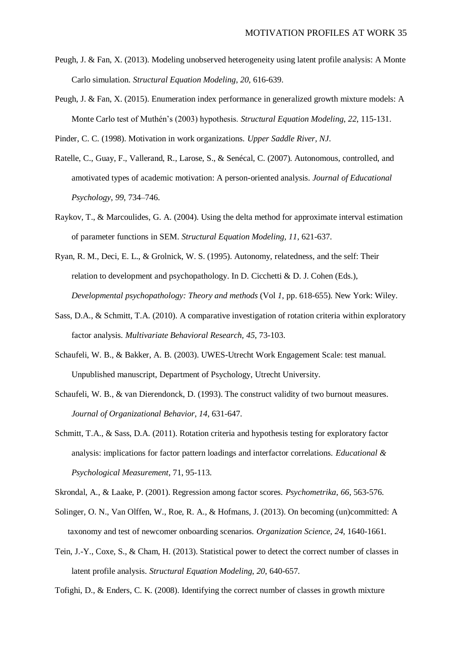- Peugh, J. & Fan, X. (2013). Modeling unobserved heterogeneity using latent profile analysis: A Monte Carlo simulation. *Structural Equation Modeling*, *20*, 616-639.
- Peugh, J. & Fan, X. (2015). Enumeration index performance in generalized growth mixture models: A Monte Carlo test of Muthén's (2003) hypothesis. *Structural Equation Modeling*, *22*, 115-131.

Pinder, C. C. (1998). Motivation in work organizations. *Upper Saddle River, NJ*.

- Ratelle, C., Guay, F., Vallerand, R., Larose, S., & Senécal, C. (2007). Autonomous, controlled, and amotivated types of academic motivation: A person-oriented analysis. *Journal of Educational Psychology*, *99*, 734–746.
- Raykov, T., & Marcoulides, G. A. (2004). Using the delta method for approximate interval estimation of parameter functions in SEM. *Structural Equation Modeling, 11*, 621-637.
- Ryan, R. M., Deci, E. L., & Grolnick, W. S. (1995). Autonomy, relatedness, and the self: Their relation to development and psychopathology. In D. Cicchetti & D. J. Cohen (Eds.), *Developmental psychopathology: Theory and methods* (Vol *1*, pp. 618-655). New York: Wiley.
- Sass, D.A., & Schmitt, T.A. (2010). A comparative investigation of rotation criteria within exploratory factor analysis. *Multivariate Behavioral Research, 45*, 73-103.
- Schaufeli, W. B., & Bakker, A. B. (2003). UWES-Utrecht Work Engagement Scale: test manual. Unpublished manuscript, Department of Psychology, Utrecht University.
- Schaufeli, W. B., & van Dierendonck, D. (1993). The construct validity of two burnout measures. *Journal of Organizational Behavior*, *14*, 631-647.
- Schmitt, T.A., & Sass, D.A. (2011). Rotation criteria and hypothesis testing for exploratory factor analysis: implications for factor pattern loadings and interfactor correlations. *Educational & Psychological Measurement*, 71, 95-113.
- Skrondal, A., & Laake, P. (2001). Regression among factor scores. *Psychometrika*, *66*, 563-576.
- Solinger, O. N., Van Olffen, W., Roe, R. A., & Hofmans, J. (2013). On becoming (un)committed: A taxonomy and test of newcomer onboarding scenarios. *Organization Science*, *24*, 1640-1661.
- Tein, J.-Y., Coxe, S., & Cham, H. (2013). Statistical power to detect the correct number of classes in latent profile analysis. *Structural Equation Modeling*, *20*, 640-657.

Tofighi, D., & Enders, C. K. (2008). Identifying the correct number of classes in growth mixture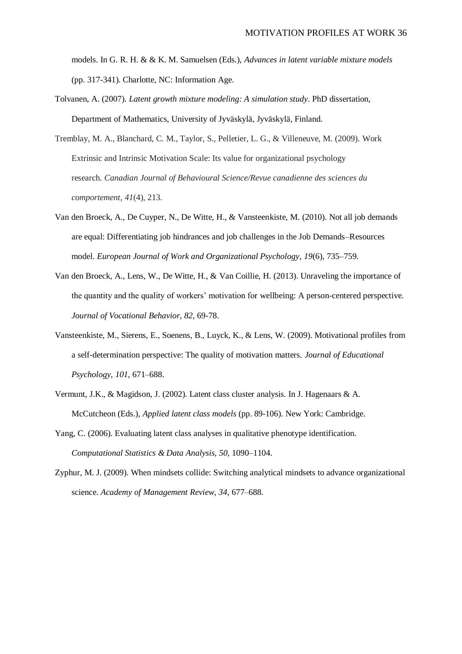models. In G. R. H. & & K. M. Samuelsen (Eds.), *Advances in latent variable mixture models* (pp. 317-341). Charlotte, NC: Information Age.

- Tolvanen, A. (2007). *Latent growth mixture modeling: A simulation study*. PhD dissertation, Department of Mathematics, University of Jyväskylä, Jyväskylä, Finland.
- Tremblay, M. A., Blanchard, C. M., Taylor, S., Pelletier, L. G., & Villeneuve, M. (2009). Work Extrinsic and Intrinsic Motivation Scale: Its value for organizational psychology research. *Canadian Journal of Behavioural Science/Revue canadienne des sciences du comportement*, *41*(4), 213.
- Van den Broeck, A., De Cuyper, N., De Witte, H., & Vansteenkiste, M. (2010). Not all job demands are equal: Differentiating job hindrances and job challenges in the Job Demands–Resources model. *European Journal of Work and Organizational Psychology*, *19*(6), 735–759.
- Van den Broeck, A., Lens, W., De Witte, H., & Van Coillie, H. (2013). Unraveling the importance of the quantity and the quality of workers' motivation for wellbeing: A person-centered perspective. *Journal of Vocational Behavior*, *82*, 69-78.
- Vansteenkiste, M., Sierens, E., Soenens, B., Luyck, K., & Lens, W. (2009). Motivational profiles from a self-determination perspective: The quality of motivation matters. *Journal of Educational Psychology, 101*, 671–688.
- Vermunt, J.K., & Magidson, J. (2002). Latent class cluster analysis. In J. Hagenaars & A. McCutcheon (Eds.), *Applied latent class models* (pp. 89-106). New York: Cambridge.
- Yang, C. (2006). Evaluating latent class analyses in qualitative phenotype identification*. Computational Statistics & Data Analysis, 50*, 1090–1104.
- Zyphur, M. J. (2009). When mindsets collide: Switching analytical mindsets to advance organizational science. *Academy of Management Review*, *34*, 677–688.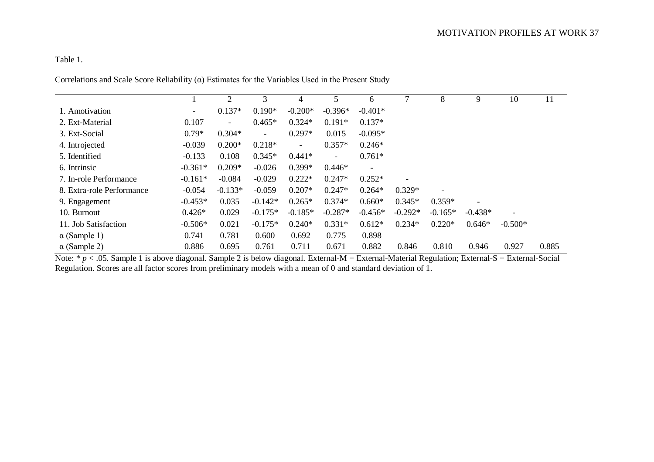## Table 1.

Correlations and Scale Score Reliability (α) Estimates for the Variables Used in the Present Study

|                           |                          | 2                        | 3                        | 4                        | 5                 | 6                        | ┑                        | 8                        | 9         | 10                       | 11    |
|---------------------------|--------------------------|--------------------------|--------------------------|--------------------------|-------------------|--------------------------|--------------------------|--------------------------|-----------|--------------------------|-------|
| 1. Amotivation            | $\overline{\phantom{0}}$ | $0.137*$                 | $0.190*$                 | $-0.200*$                | $-0.396*$         | $-0.401*$                |                          |                          |           |                          |       |
| 2. Ext-Material           | 0.107                    | $\overline{\phantom{a}}$ | $0.465*$                 | $0.324*$                 | $0.191*$          | $0.137*$                 |                          |                          |           |                          |       |
| 3. Ext-Social             | $0.79*$                  | $0.304*$                 | $\overline{\phantom{a}}$ | $0.297*$                 | 0.015             | $-0.095*$                |                          |                          |           |                          |       |
| 4. Introjected            | $-0.039$                 | $0.200*$                 | $0.218*$                 | $\overline{\phantom{0}}$ | $0.357*$          | $0.246*$                 |                          |                          |           |                          |       |
| 5. Identified             | $-0.133$                 | 0.108                    | $0.345*$                 | $0.441*$                 | $\qquad \qquad -$ | $0.761*$                 |                          |                          |           |                          |       |
| 6. Intrinsic              | $-0.361*$                | $0.209*$                 | $-0.026$                 | $0.399*$                 | $0.446*$          | $\overline{\phantom{a}}$ |                          |                          |           |                          |       |
| 7. In-role Performance    | $-0.161*$                | $-0.084$                 | $-0.029$                 | $0.222*$                 | $0.247*$          | $0.252*$                 | $\overline{\phantom{0}}$ |                          |           |                          |       |
| 8. Extra-role Performance | $-0.054$                 | $-0.133*$                | $-0.059$                 | $0.207*$                 | $0.247*$          | $0.264*$                 | $0.329*$                 | $\overline{\phantom{a}}$ |           |                          |       |
| 9. Engagement             | $-0.453*$                | 0.035                    | $-0.142*$                | $0.265*$                 | $0.374*$          | $0.660*$                 | $0.345*$                 | $0.359*$                 |           |                          |       |
| 10. Burnout               | $0.426*$                 | 0.029                    | $-0.175*$                | $-0.185*$                | $-0.287*$         | $-0.456*$                | $-0.292*$                | $-0.165*$                | $-0.438*$ | $\overline{\phantom{a}}$ |       |
| 11. Job Satisfaction      | $-0.506*$                | 0.021                    | $-0.175*$                | $0.240*$                 | $0.331*$          | $0.612*$                 | $0.234*$                 | $0.220*$                 | $0.646*$  | $-0.500*$                |       |
| $\alpha$ (Sample 1)       | 0.741                    | 0.781                    | 0.600                    | 0.692                    | 0.775             | 0.898                    |                          |                          |           |                          |       |
| $\alpha$ (Sample 2)       | 0.886                    | 0.695                    | 0.761                    | 0.711                    | 0.671             | 0.882                    | 0.846                    | 0.810                    | 0.946     | 0.927                    | 0.885 |

Note: \*  $p < .05$ . Sample 1 is above diagonal. Sample 2 is below diagonal. External-M = External-Material Regulation; External-S = External-Social Regulation. Scores are all factor scores from preliminary models with a mean of 0 and standard deviation of 1.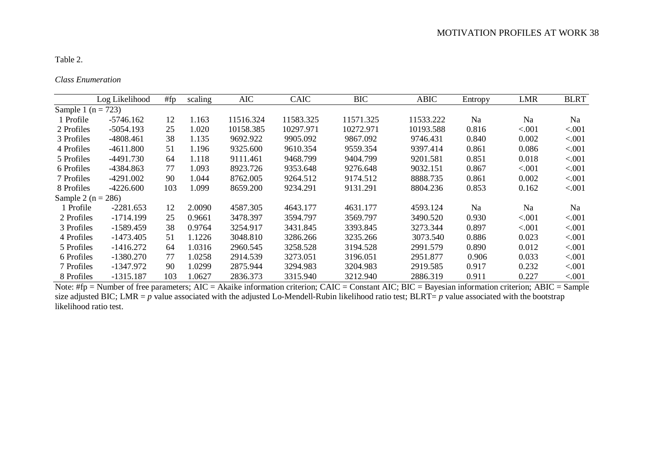## Table 2.

### *Class Enumeration*

|                        | Log Likelihood | #fp | scaling | <b>AIC</b> | CAIC      | <b>BIC</b> | <b>ABIC</b> | Entropy | LMR     | <b>BLRT</b> |
|------------------------|----------------|-----|---------|------------|-----------|------------|-------------|---------|---------|-------------|
| Sample 1 ( $n = 723$ ) |                |     |         |            |           |            |             |         |         |             |
| 1 Profile              | $-5746.162$    | 12  | 1.163   | 11516.324  | 11583.325 | 11571.325  | 11533.222   | Na      | Na      | Na          |
| 2 Profiles             | $-5054.193$    | 25  | 1.020   | 10158.385  | 10297.971 | 10272.971  | 10193.588   | 0.816   | < .001  | < .001      |
| 3 Profiles             | -4808.461      | 38  | 1.135   | 9692.922   | 9905.092  | 9867.092   | 9746.431    | 0.840   | 0.002   | < .001      |
| 4 Profiles             | $-4611.800$    | 51  | 1.196   | 9325.600   | 9610.354  | 9559.354   | 9397.414    | 0.861   | 0.086   | < .001      |
| 5 Profiles             | -4491.730      | 64  | 1.118   | 9111.461   | 9468.799  | 9404.799   | 9201.581    | 0.851   | 0.018   | < .001      |
| 6 Profiles             | -4384.863      | 77  | 1.093   | 8923.726   | 9353.648  | 9276.648   | 9032.151    | 0.867   | < 0.001 | < .001      |
| 7 Profiles             | -4291.002      | 90  | 1.044   | 8762.005   | 9264.512  | 9174.512   | 8888.735    | 0.861   | 0.002   | < .001      |
| 8 Profiles             | $-4226.600$    | 103 | 1.099   | 8659.200   | 9234.291  | 9131.291   | 8804.236    | 0.853   | 0.162   | < .001      |
| Sample 2 ( $n = 286$ ) |                |     |         |            |           |            |             |         |         |             |
| 1 Profile              | $-2281.653$    | 12  | 2.0090  | 4587.305   | 4643.177  | 4631.177   | 4593.124    | Na      | Na      | Na          |
| 2 Profiles             | $-1714.199$    | 25  | 0.9661  | 3478.397   | 3594.797  | 3569.797   | 3490.520    | 0.930   | < .001  | < .001      |
| 3 Profiles             | $-1589.459$    | 38  | 0.9764  | 3254.917   | 3431.845  | 3393.845   | 3273.344    | 0.897   | < 0.001 | < .001      |
| 4 Profiles             | $-1473.405$    | 51  | 1.1226  | 3048.810   | 3286.266  | 3235.266   | 3073.540    | 0.886   | 0.023   | < .001      |
| 5 Profiles             | $-1416.272$    | 64  | 1.0316  | 2960.545   | 3258.528  | 3194.528   | 2991.579    | 0.890   | 0.012   | < .001      |
| 6 Profiles             | $-1380.270$    | 77  | 1.0258  | 2914.539   | 3273.051  | 3196.051   | 2951.877    | 0.906   | 0.033   | < .001      |
| 7 Profiles             | $-1347.972$    | 90  | 1.0299  | 2875.944   | 3294.983  | 3204.983   | 2919.585    | 0.917   | 0.232   | < .001      |
| 8 Profiles             | $-1315.187$    | 103 | 1.0627  | 2836.373   | 3315.940  | 3212.940   | 2886.319    | 0.911   | 0.227   | < .001      |

Note: #fp = Number of free parameters; AIC = Akaike information criterion; CAIC = Constant AIC; BIC = Bayesian information criterion; ABIC = Sample size adjusted BIC; LMR =  $\vec{p}$  value associated with the adjusted Lo-Mendell-Rubin likelihood ratio test; BLRT=  $\vec{p}$  value associated with the bootstrap likelihood ratio test.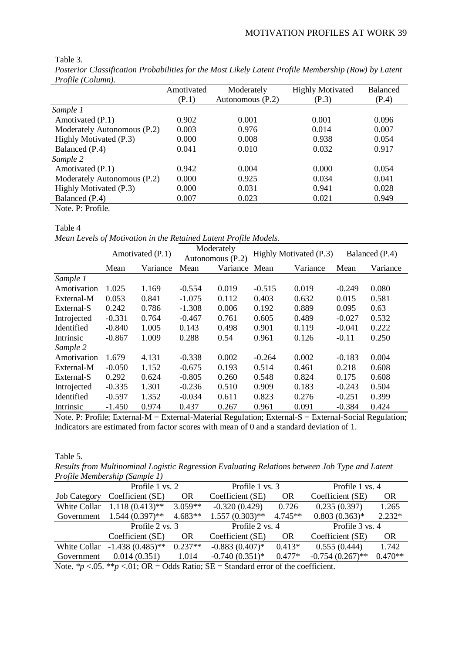Table 3.

*Posterior Classification Probabilities for the Most Likely Latent Profile Membership (Row) by Latent Profile (Column).*

|                             | Amotivated | Moderately       | <b>Highly Motivated</b> | Balanced |
|-----------------------------|------------|------------------|-------------------------|----------|
|                             | (P.1)      | Autonomous (P.2) | (P.3)                   | (P.4)    |
| Sample 1                    |            |                  |                         |          |
| Amotivated (P.1)            | 0.902      | 0.001            | 0.001                   | 0.096    |
| Moderately Autonomous (P.2) | 0.003      | 0.976            | 0.014                   | 0.007    |
| Highly Motivated (P.3)      | 0.000      | 0.008            | 0.938                   | 0.054    |
| Balanced (P.4)              | 0.041      | 0.010            | 0.032                   | 0.917    |
| Sample 2                    |            |                  |                         |          |
| Amotivated (P.1)            | 0.942      | 0.004            | 0.000                   | 0.054    |
| Moderately Autonomous (P.2) | 0.000      | 0.925            | 0.034                   | 0.041    |
| Highly Motivated (P.3)      | 0.000      | 0.031            | 0.941                   | 0.028    |
| Balanced (P.4)              | 0.007      | 0.023            | 0.021                   | 0.949    |
| Note. P: Profile.           |            |                  |                         |          |

Table 4

*Mean Levels of Motivation in the Retained Latent Profile Models.*

|             | Amotivated (P.1) |          | Moderately |                  |          | Highly Motivated (P.3) | Balanced (P.4) |          |  |
|-------------|------------------|----------|------------|------------------|----------|------------------------|----------------|----------|--|
|             |                  |          |            | Autonomous (P.2) |          |                        |                |          |  |
|             | Mean             | Variance | Mean       | Variance         | Mean     | Variance               | Mean           | Variance |  |
| Sample 1    |                  |          |            |                  |          |                        |                |          |  |
| Amotivation | 1.025            | 1.169    | $-0.554$   | 0.019            | $-0.515$ | 0.019                  | $-0.249$       | 0.080    |  |
| External-M  | 0.053            | 0.841    | $-1.075$   | 0.112            | 0.403    | 0.632                  | 0.015          | 0.581    |  |
| External-S  | 0.242            | 0.786    | $-1.308$   | 0.006            | 0.192    | 0.889                  | 0.095          | 0.63     |  |
| Introjected | $-0.331$         | 0.764    | $-0.467$   | 0.761            | 0.605    | 0.489                  | $-0.027$       | 0.532    |  |
| Identified  | $-0.840$         | 1.005    | 0.143      | 0.498            | 0.901    | 0.119                  | $-0.041$       | 0.222    |  |
| Intrinsic   | $-0.867$         | 1.009    | 0.288      | 0.54             | 0.961    | 0.126                  | $-0.11$        | 0.250    |  |
| Sample 2    |                  |          |            |                  |          |                        |                |          |  |
| Amotivation | 1.679            | 4.131    | $-0.338$   | 0.002            | $-0.264$ | 0.002                  | $-0.183$       | 0.004    |  |
| External-M  | $-0.050$         | 1.152    | $-0.675$   | 0.193            | 0.514    | 0.461                  | 0.218          | 0.608    |  |
| External-S  | 0.292            | 0.624    | $-0.805$   | 0.260            | 0.548    | 0.824                  | 0.175          | 0.608    |  |
| Introjected | $-0.335$         | 1.301    | $-0.236$   | 0.510            | 0.909    | 0.183                  | $-0.243$       | 0.504    |  |
| Identified  | $-0.597$         | 1.352    | $-0.034$   | 0.611            | 0.823    | 0.276                  | $-0.251$       | 0.399    |  |
| Intrinsic   | $-1.450$         | 0.974    | 0.437      | 0.267            | 0.961    | 0.091                  | $-0.384$       | 0.424    |  |

Note. P: Profile; External-M = External-Material Regulation; External-S = External-Social Regulation; Indicators are estimated from factor scores with mean of 0 and a standard deviation of 1.

Table 5.

*Results from Multinominal Logistic Regression Evaluating Relations between Job Type and Latent Profile Membership (Sample 1)*

|                     | Profile 1 vs. 2                 |           | Profile 1 vs. 3   |           | Profile 1 vs. 4    |           |  |
|---------------------|---------------------------------|-----------|-------------------|-----------|--------------------|-----------|--|
| <b>Job Category</b> | Coefficient (SE)                | OR        | Coefficient (SE)  | <b>OR</b> | Coefficient (SE)   | <b>OR</b> |  |
| White Collar        | $1.118(0.413)$ **               | $3.059**$ | $-0.320(0.429)$   | 0.726     | 0.235(0.397)       | 1.265     |  |
| Government          | $1.544(0.397)$ **               | $4.683**$ | $1.557(0.303)$ ** | $4.745**$ | $0.803(0.363)*$    | $2.232*$  |  |
|                     | Profile 2 vs. 3                 |           | Profile 2 vs. 4   |           | Profile 3 vs. 4    |           |  |
|                     | Coefficient (SE)                | OR        | Coefficient (SE)  | <b>OR</b> | Coefficient (SE)   | <b>OR</b> |  |
|                     | White Collar $-1.438(0.485)$ ** | $0.237**$ | $-0.883(0.407)^*$ | $0.413*$  | 0.555(0.444)       | 1.742     |  |
| Government          | 0.014(0.351)                    | 1.014     | $-0.740(0.351)*$  | $0.477*$  | $-0.754(0.267)$ ** | $0.470**$ |  |
|                     |                                 |           |                   |           |                    |           |  |

Note.  $* p < .05.$  \*\* $p < .01$ ; OR = Odds Ratio; SE = Standard error of the coefficient.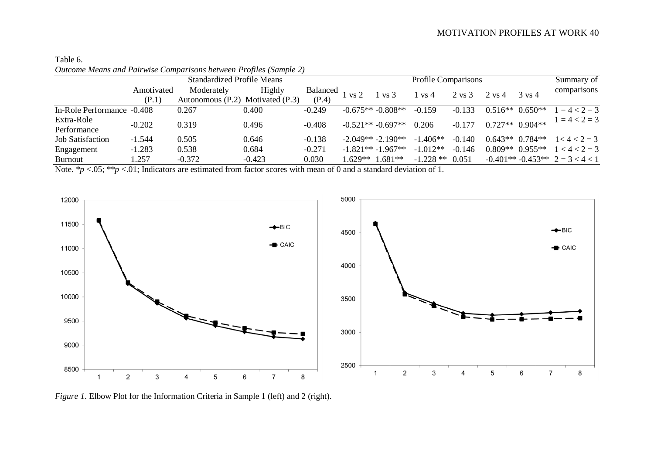|                            |                     |                                                | Summary of |                          |                 |                     |                   |          |                   |                   |                                   |
|----------------------------|---------------------|------------------------------------------------|------------|--------------------------|-----------------|---------------------|-------------------|----------|-------------------|-------------------|-----------------------------------|
|                            | Amotivated<br>(P.1) | Moderately<br>Autonomous (P.2) Motivated (P.3) | Highly     | <b>Balanced</b><br>(P.4) | vs <sub>2</sub> | vs <sub>3</sub>     | $1 \text{ vs } 4$ | 2 vs 3   | $2 \text{ vs } 4$ | $3 \text{ vs } 4$ | comparisons                       |
| In-Role Performance -0.408 |                     | 0.267                                          | 0.400      | $-0.249$                 |                 | $-0.675** -0.808**$ | $-0.159$          | $-0.133$ | $0.516**$         | $0.650**$         | $1 = 4 < 2 = 3$                   |
| Extra-Role<br>Performance  | $-0.202$            | 0.319                                          | 0.496      | $-0.408$                 |                 | $-0.521** -0.697**$ | 0.206             | $-0.177$ | $0.727**$ 0.904** |                   | $1 = 4 < 2 = 3$                   |
| <b>Job Satisfaction</b>    | $-1.544$            | 0.505                                          | 0.646      | $-0.138$                 |                 | $-2.049** -2.190**$ | $-1.406**$        | $-0.140$ | $0.643**0.784**$  |                   | $1 < 4 < 2 = 3$                   |
| Engagement                 | $-1.283$            | 0.538                                          | 0.684      | $-0.271$                 |                 | $-1.821** -1.967**$ | $-1.012**$        | $-0.146$ | $0.809**$ 0.955** |                   | $1 < 4 < 2 = 3$                   |
| Burnout                    | l.257               | $-0.372$                                       | $-0.423$   | 0.030                    | $1.629**$       | $1.681**$           | $-1.228$ **       | 0.051    |                   |                   | $-0.401** -0.453**$ 2 = 3 < 4 < 1 |

## Table 6. *Outcome Means and Pairwise Comparisons between Profiles (Sample 2)*

Note.  $*p < .05$ ;  $**p < .01$ ; Indicators are estimated from factor scores with mean of 0 and a standard deviation of 1.



*Figure 1*. Elbow Plot for the Information Criteria in Sample 1 (left) and 2 (right).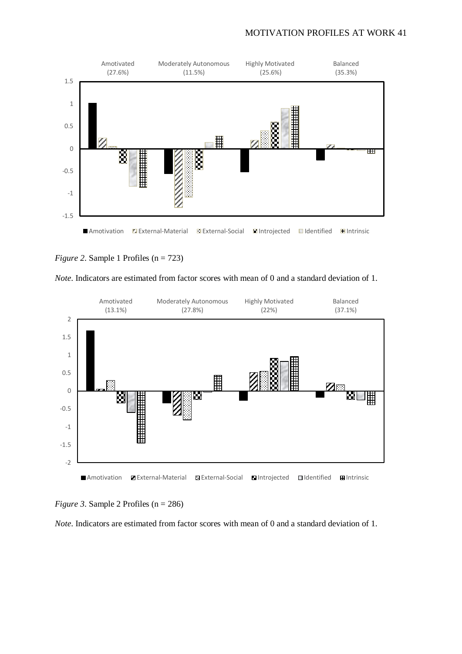### MOTIVATION PROFILES AT WORK 41



*Figure 2.* Sample 1 Profiles  $(n = 723)$ 





*Figure 3.* Sample 2 Profiles (n = 286)

*Note*. Indicators are estimated from factor scores with mean of 0 and a standard deviation of 1.